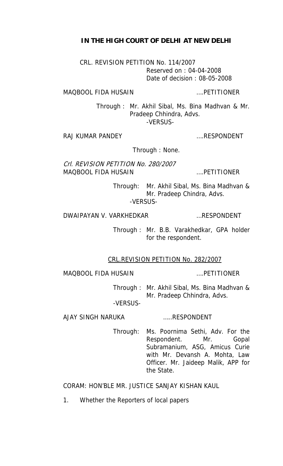# **IN THE HIGH COURT OF DELHI AT NEW DELHI**

CRL. REVISION PETITION No. 114/2007 Reserved on : 04-04-2008 Date of decision : 08-05-2008

MAQBOOL FIDA HUSAIN **EXAMPLE 19 MAQBOOL** FIDA HUSAIN

Through : Mr. Akhil Sibal, Ms. Bina Madhvan & Mr. Pradeep Chhindra, Advs. -VERSUS-

RAJ KUMAR PANDEY **EXAMPLE EN ANGLES ANGLES** 

Through : None.

Crl. REVISION PETITION No. 280/2007 MAQBOOL FIDA HUSAIN **EXAMPLE AN INCLUST A SECULITIONER** 

Through: Mr. Akhil Sibal, Ms. Bina Madhvan & Mr. Pradeep Chindra, Advs. -VERSUS-

DWAIPAYAN V. VARKHEDKAR …RESPONDENT

Through : Mr. B.B. Varakhedkar, GPA holder for the respondent.

#### CRL.REVISION PETITION No. 282/2007

MAQBOOL FIDA HUSAIN **EXAMPLE 19 MAQBOOL** FIDA HUSAIN

Through : Mr. Akhil Sibal, Ms. Bina Madhvan & Mr. Pradeep Chhindra, Advs. -VERSUS-

## AJAY SINGH NARUKA …..RESPONDENT

Through: Ms. Poornima Sethi, Adv. For the Respondent. Mr. Gopal Subramanium, ASG, Amicus Curie with Mr. Devansh A. Mohta, Law Officer. Mr. Jaideep Malik, APP for the State.

CORAM: HON'BLE MR. JUSTICE SANJAY KISHAN KAUL

1. Whether the Reporters of local papers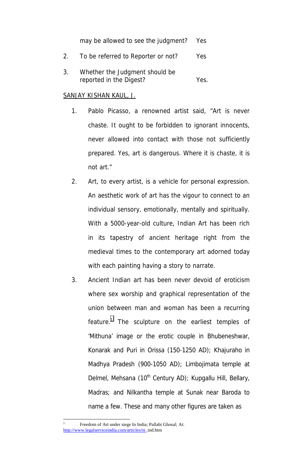may be allowed to see the judgment? Yes

- 2. To be referred to Reporter or not? Yes
- 3. Whether the Judgment should be reported in the Digest? The Mes.

## SANJAY KISHAN KAUL, J.

- 1. Pablo Picasso, a renowned artist said, "Art is never chaste. It ought to be forbidden to ignorant innocents, never allowed into contact with those not sufficiently prepared. Yes, art is dangerous. Where it is chaste, it is not art."
- 2. Art, to every artist, is a vehicle for personal expression. An aesthetic work of art has the vigour to connect to an individual sensory, emotionally, mentally and spiritually. With a 5000-year-old culture, Indian Art has been rich in its tapestry of ancient heritage right from the medieval times to the contemporary art adorned today with each painting having a story to narrate.
- 3. Ancient Indian art has been never devoid of eroticism where sex worship and graphical representation of the union between man and woman has been a recurring feature.<sup>1</sup> The sculpture on the earliest temples of 'Mithuna' image or the erotic couple in Bhubeneshwar, Konarak and Puri in Orissa (150-1250 AD); Khajuraho in Madhya Pradesh (900-1050 AD); Limbojimata temple at Delmel, Mehsana (10<sup>th</sup> Century AD); Kupgallu Hill, Bellary, Madras; and Nilkantha temple at Sunak near Baroda to name a few. These and many other figures are taken as

<sup>1</sup> 1 Freedom of Art under siege In India; Pallabi Ghosal; At: http://www.legalserviceindia.com/articles/re\_ind.htm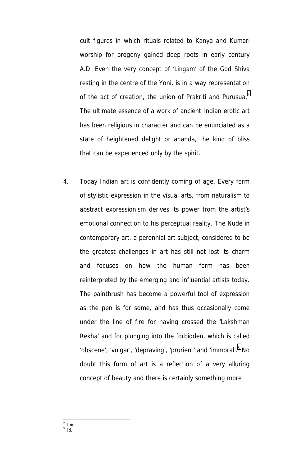cult figures in which rituals related to Kanya and Kumari worship for progeny gained deep roots in early century A.D. Even the very concept of 'Lingam' of the God Shiva resting in the centre of the Yoni, is in a way representation of the act of creation, the union of Prakriti and Purusua. $2$ The ultimate essence of a work of ancient Indian erotic art has been religious in character and can be enunciated as a state of heightened delight or ananda, the kind of bliss that can be experienced only by the spirit.

4. Today Indian art is confidently coming of age. Every form of stylistic expression in the visual arts, from naturalism to abstract expressionism derives its power from the artist's emotional connection to his perceptual reality. The Nude in contemporary art, a perennial art subject, considered to be the greatest challenges in art has still not lost its charm and focuses on how the human form has been reinterpreted by the emerging and influential artists today. The paintbrush has become a powerful tool of expression as the pen is for some, and has thus occasionally come under the line of fire for having crossed the 'Lakshman Rekha' and for plunging into the forbidden, which is called 'obscene', 'vulgar', 'depraving', 'prurient' and 'immoral'.<sup>3</sup> No doubt this form of art is a reflection of a very alluring concept of beauty and there is certainly something more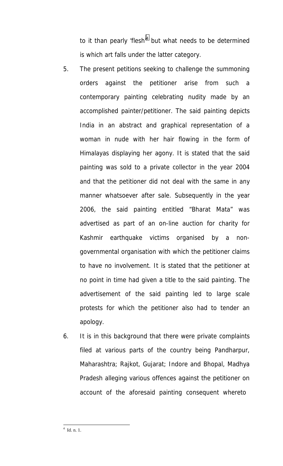to it than pearly 'flesh'<sup>4</sup> but what needs to be determined is which art falls under the latter category.

- 5. The present petitions seeking to challenge the summoning orders against the petitioner arise from such a contemporary painting celebrating nudity made by an accomplished painter/petitioner. The said painting depicts India in an abstract and graphical representation of a woman in nude with her hair flowing in the form of Himalayas displaying her agony. It is stated that the said painting was sold to a private collector in the year 2004 and that the petitioner did not deal with the same in any manner whatsoever after sale. Subsequently in the year 2006, the said painting entitled "Bharat Mata" was advertised as part of an on-line auction for charity for Kashmir earthquake victims organised by a nongovernmental organisation with which the petitioner claims to have no involvement. It is stated that the petitioner at no point in time had given a title to the said painting. The advertisement of the said painting led to large scale protests for which the petitioner also had to tender an apology.
- 6. It is in this background that there were private complaints filed at various parts of the country being Pandharpur, Maharashtra; Rajkot, Gujarat; Indore and Bhopal, Madhya Pradesh alleging various offences against the petitioner on account of the aforesaid painting consequent whereto

1

<sup>4</sup> Id. n. 1.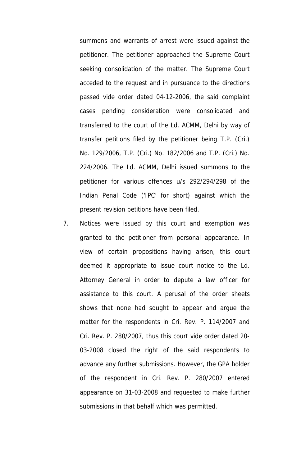summons and warrants of arrest were issued against the petitioner. The petitioner approached the Supreme Court seeking consolidation of the matter. The Supreme Court acceded to the request and in pursuance to the directions passed vide order dated 04-12-2006, the said complaint cases pending consideration were consolidated and transferred to the court of the Ld. ACMM, Delhi by way of transfer petitions filed by the petitioner being T.P. (Cri.) No. 129/2006, T.P. (Cri.) No. 182/2006 and T.P. (Cri.) No. 224/2006. The Ld. ACMM, Delhi issued summons to the petitioner for various offences u/s 292/294/298 of the Indian Penal Code ('IPC' for short) against which the present revision petitions have been filed.

7. Notices were issued by this court and exemption was granted to the petitioner from personal appearance. In view of certain propositions having arisen, this court deemed it appropriate to issue court notice to the Ld. Attorney General in order to depute a law officer for assistance to this court. A perusal of the order sheets shows that none had sought to appear and argue the matter for the respondents in Cri. Rev. P. 114/2007 and Cri. Rev. P. 280/2007, thus this court vide order dated 20- 03-2008 closed the right of the said respondents to advance any further submissions. However, the GPA holder of the respondent in Cri. Rev. P. 280/2007 entered appearance on 31-03-2008 and requested to make further submissions in that behalf which was permitted.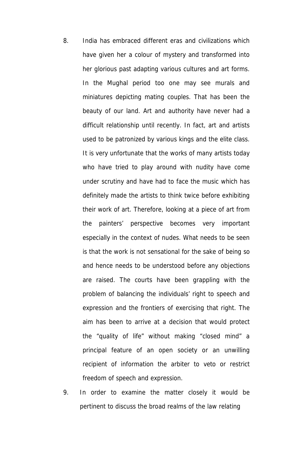- 8. India has embraced different eras and civilizations which have given her a colour of mystery and transformed into her glorious past adapting various cultures and art forms. In the Mughal period too one may see murals and miniatures depicting mating couples. That has been the beauty of our land. Art and authority have never had a difficult relationship until recently. In fact, art and artists used to be patronized by various kings and the elite class. It is very unfortunate that the works of many artists today who have tried to play around with nudity have come under scrutiny and have had to face the music which has definitely made the artists to think twice before exhibiting their work of art. Therefore, looking at a piece of art from the painters' perspective becomes very important especially in the context of nudes. What needs to be seen is that the work is not sensational for the sake of being so and hence needs to be understood before any objections are raised. The courts have been grappling with the problem of balancing the individuals' right to speech and expression and the frontiers of exercising that right. The aim has been to arrive at a decision that would protect the "quality of life" without making "closed mind" a principal feature of an open society or an unwilling recipient of information the arbiter to veto or restrict freedom of speech and expression.
- 9. In order to examine the matter closely it would be pertinent to discuss the broad realms of the law relating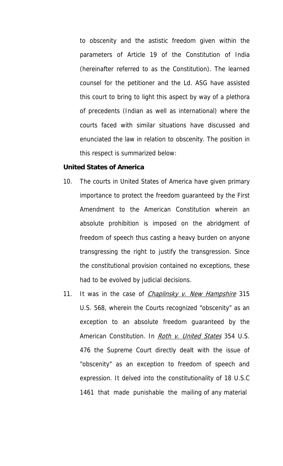to obscenity and the astistic freedom given within the parameters of Article 19 of the Constitution of India (hereinafter referred to as the Constitution). The learned counsel for the petitioner and the Ld. ASG have assisted this court to bring to light this aspect by way of a plethora of precedents (Indian as well as international) where the courts faced with similar situations have discussed and enunciated the law in relation to obscenity. The position in this respect is summarized below:

# **United States of America**

- 10. The courts in United States of America have given primary importance to protect the freedom guaranteed by the First Amendment to the American Constitution wherein an absolute prohibition is imposed on the abridgment of freedom of speech thus casting a heavy burden on anyone transgressing the right to justify the transgression. Since the constitutional provision contained no exceptions, these had to be evolved by judicial decisions.
- 11. It was in the case of *Chaplinsky v. New Hampshire* 315 U.S. 568, wherein the Courts recognized "obscenity" as an exception to an absolute freedom guaranteed by the American Constitution. In Roth v. United States 354 U.S. 476 the Supreme Court directly dealt with the issue of "obscenity" as an exception to freedom of speech and expression. It delved into the constitutionality of 18 U.S.C 1461 that made punishable the mailing of any material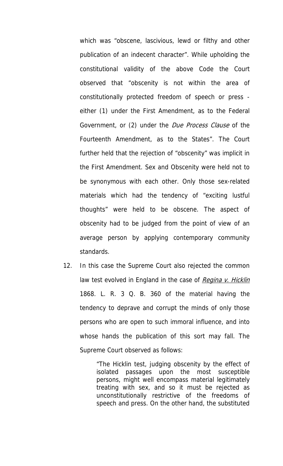which was "obscene, lascivious, lewd or filthy and other publication of an indecent character". While upholding the constitutional validity of the above Code the Court observed that "obscenity is not within the area of constitutionally protected freedom of speech or press either (1) under the First Amendment, as to the Federal Government, or (2) under the Due Process Clause of the Fourteenth Amendment, as to the States". The Court further held that the rejection of "obscenity" was implicit in the First Amendment. Sex and Obscenity were held not to be synonymous with each other. Only those sex-related materials which had the tendency of "exciting lustful thoughts" were held to be obscene. The aspect of obscenity had to be judged from the point of view of an average person by applying contemporary community standards.

12. In this case the Supreme Court also rejected the common law test evolved in England in the case of Regina v. Hicklin 1868. L. R. 3 Q. B. 360 of the material having the tendency to deprave and corrupt the minds of only those persons who are open to such immoral influence, and into whose hands the publication of this sort may fall. The Supreme Court observed as follows:

> "The Hicklin test, judging obscenity by the effect of isolated passages upon the most susceptible persons, might well encompass material legitimately treating with sex, and so it must be rejected as unconstitutionally restrictive of the freedoms of speech and press. On the other hand, the substituted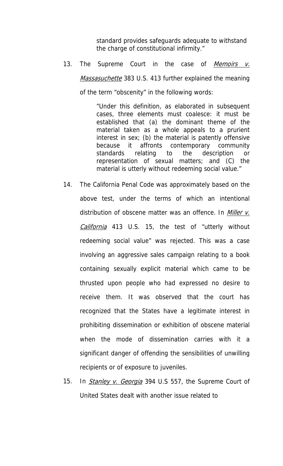standard provides safeguards adequate to withstand the charge of constitutional infirmity."

13. The Supreme Court in the case of *Memoirs v.* Massasuchette 383 U.S. 413 further explained the meaning of the term "obscenity" in the following words:

> "Under this definition, as elaborated in subsequent cases, three elements must coalesce: it must be established that (a) the dominant theme of the material taken as a whole appeals to a prurient interest in sex; (b) the material is patently offensive because it affronts contemporary community standards relating to the description or representation of sexual matters; and (C) the material is utterly without redeeming social value."

- 14. The California Penal Code was approximately based on the above test, under the terms of which an intentional distribution of obscene matter was an offence. In *Miller v.* California 413 U.S. 15, the test of "utterly without redeeming social value" was rejected. This was a case involving an aggressive sales campaign relating to a book containing sexually explicit material which came to be thrusted upon people who had expressed no desire to receive them. It was observed that the court has recognized that the States have a legitimate interest in prohibiting dissemination or exhibition of obscene material when the mode of dissemination carries with it a significant danger of offending the sensibilities of unwilling recipients or of exposure to juveniles.
- 15. In *Stanley v. Georgia* 394 U.S 557, the Supreme Court of United States dealt with another issue related to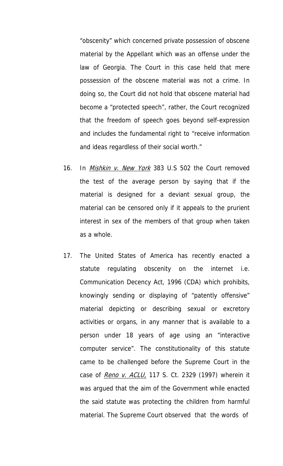"obscenity" which concerned private possession of obscene material by the Appellant which was an offense under the law of Georgia. The Court in this case held that mere possession of the obscene material was not a crime. In doing so, the Court did not hold that obscene material had become a "protected speech", rather, the Court recognized that the freedom of speech goes beyond self-expression and includes the fundamental right to "receive information and ideas regardless of their social worth."

- 16. In Mishkin v. New York 383 U.S 502 the Court removed the test of the average person by saying that if the material is designed for a deviant sexual group, the material can be censored only if it appeals to the prurient interest in sex of the members of that group when taken as a whole.
- 17. The United States of America has recently enacted a statute regulating obscenity on the internet i.e. Communication Decency Act, 1996 (CDA) which prohibits, knowingly sending or displaying of "patently offensive" material depicting or describing sexual or excretory activities or organs, in any manner that is available to a person under 18 years of age using an "interactive computer service". The constitutionality of this statute came to be challenged before the Supreme Court in the case of *Reno v. ACLU*, 117 S. Ct. 2329 (1997) wherein it was argued that the aim of the Government while enacted the said statute was protecting the children from harmful material. The Supreme Court observed that the words of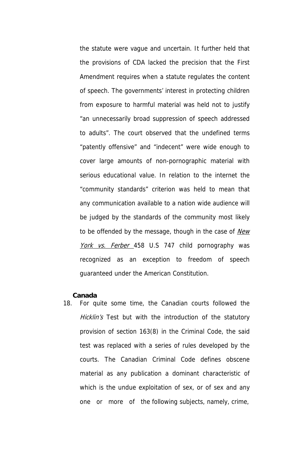the statute were vague and uncertain. It further held that the provisions of CDA lacked the precision that the First Amendment requires when a statute regulates the content of speech. The governments' interest in protecting children from exposure to harmful material was held not to justify "an unnecessarily broad suppression of speech addressed to adults". The court observed that the undefined terms "patently offensive" and "indecent" were wide enough to cover large amounts of non-pornographic material with serious educational value. In relation to the internet the "community standards" criterion was held to mean that any communication available to a nation wide audience will be judged by the standards of the community most likely to be offended by the message, though in the case of New York vs. Ferber 458 U.S 747 child pornography was recognized as an exception to freedom of speech guaranteed under the American Constitution.

#### **Canada**

18. For quite some time, the Canadian courts followed the Hicklin's Test but with the introduction of the statutory provision of section 163(8) in the Criminal Code, the said test was replaced with a series of rules developed by the courts. The Canadian Criminal Code defines obscene material as any publication a dominant characteristic of which is the undue exploitation of sex, or of sex and any one or more of the following subjects, namely, crime,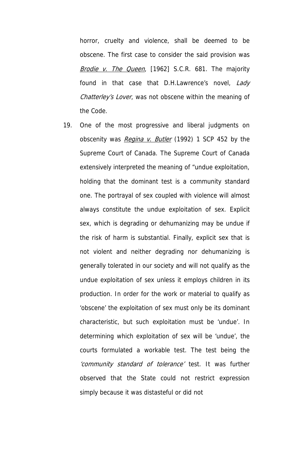horror, cruelty and violence, shall be deemed to be obscene. The first case to consider the said provision was Brodie v. The Queen, [1962] S.C.R. 681. The majority found in that case that D.H.Lawrence's novel, Lady Chatterley's Lover, was not obscene within the meaning of the Code.

19. One of the most progressive and liberal judgments on obscenity was Regina v. Butler (1992) 1 SCP 452 by the Supreme Court of Canada. The Supreme Court of Canada extensively interpreted the meaning of "undue exploitation, holding that the dominant test is a community standard one. The portrayal of sex coupled with violence will almost always constitute the undue exploitation of sex. Explicit sex, which is degrading or dehumanizing may be undue if the risk of harm is substantial. Finally, explicit sex that is not violent and neither degrading nor dehumanizing is generally tolerated in our society and will not qualify as the undue exploitation of sex unless it employs children in its production. In order for the work or material to qualify as 'obscene' the exploitation of sex must only be its dominant characteristic, but such exploitation must be 'undue'. In determining which exploitation of sex will be 'undue', the courts formulated a workable test. The test being the 'community standard of tolerance' test. It was further observed that the State could not restrict expression simply because it was distasteful or did not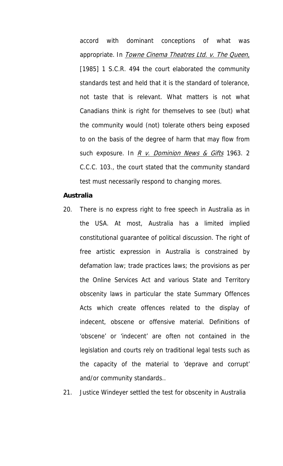accord with dominant conceptions of what was appropriate. In Towne Cinema Theatres Ltd. v. The Queen, [1985] 1 S.C.R. 494 the court elaborated the community standards test and held that it is the standard of tolerance, not taste that is relevant. What matters is not what Canadians think is right for themselves to see (but) what the community would (not) tolerate others being exposed to on the basis of the degree of harm that may flow from such exposure. In *R v. Dominion News & Gifts* 1963. 2 C.C.C. 103., the court stated that the community standard test must necessarily respond to changing mores.

## **Australia**

- 20. There is no express right to free speech in Australia as in the USA. At most, Australia has a limited implied constitutional guarantee of political discussion. The right of free artistic expression in Australia is constrained by defamation law; trade practices laws; the provisions as per the Online Services Act and various State and Territory obscenity laws in particular the state Summary Offences Acts which create offences related to the display of indecent, obscene or offensive material. Definitions of 'obscene' or 'indecent' are often not contained in the legislation and courts rely on traditional legal tests such as the capacity of the material to 'deprave and corrupt' and/or community standards..
- 21. Justice Windeyer settled the test for obscenity in Australia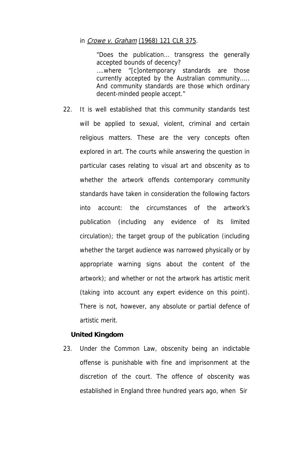## in Crowe v. Graham (1968) 121 CLR 375.

"Does the publication… transgress the generally accepted bounds of decency? ….where "[c]ontemporary standards are those currently accepted by the Australian community..... And community standards are those which ordinary decent-minded people accept."

22. It is well established that this community standards test will be applied to sexual, violent, criminal and certain religious matters. These are the very concepts often explored in art. The courts while answering the question in particular cases relating to visual art and obscenity as to whether the artwork offends contemporary community standards have taken in consideration the following factors into account: the circumstances of the artwork's publication (including any evidence of its limited circulation); the target group of the publication (including whether the target audience was narrowed physically or by appropriate warning signs about the content of the artwork); and whether or not the artwork has artistic merit (taking into account any expert evidence on this point). There is not, however, any absolute or partial defence of artistic merit.

## **United Kingdom**

23. Under the Common Law, obscenity being an indictable offense is punishable with fine and imprisonment at the discretion of the court. The offence of obscenity was established in England three hundred years ago, when Sir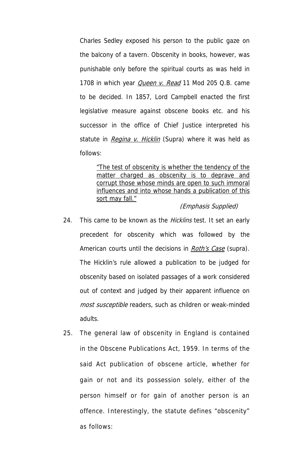Charles Sedley exposed his person to the public gaze on the balcony of a tavern. Obscenity in books, however, was punishable only before the spiritual courts as was held in 1708 in which year *Queen v. Read* 11 Mod 205 Q.B. came to be decided. In 1857, Lord Campbell enacted the first legislative measure against obscene books etc. and his successor in the office of Chief Justice interpreted his statute in Regina v. Hicklin (Supra) where it was held as follows:

"The test of obscenity is whether the tendency of the matter charged as obscenity is to deprave and corrupt those whose minds are open to such immoral influences and into whose hands a publication of this sort may fall."

### (Emphasis Supplied)

- 24. This came to be known as the *Hicklins* test. It set an early precedent for obscenity which was followed by the American courts until the decisions in *Roth's Case* (supra). The Hicklin's rule allowed a publication to be judged for obscenity based on isolated passages of a work considered out of context and judged by their apparent influence on most susceptible readers, such as children or weak-minded adults.
- 25. The general law of obscenity in England is contained in the Obscene Publications Act, 1959. In terms of the said Act publication of obscene article, whether for gain or not and its possession solely, either of the person himself or for gain of another person is an offence. Interestingly, the statute defines "obscenity" as follows: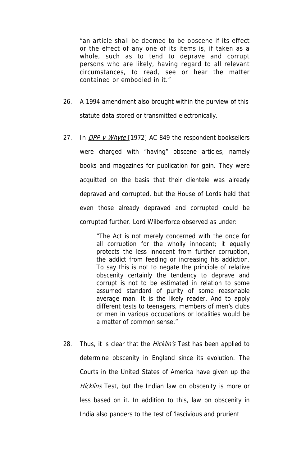"an article shall be deemed to be obscene if its effect or the effect of any one of its items is, if taken as a whole, such as to tend to deprave and corrupt persons who are likely, having regard to all relevant circumstances, to read, see or hear the matter contained or embodied in it."

- 26. A 1994 amendment also brought within the purview of this statute data stored or transmitted electronically.
- 27. In *DPP v Whyte* [1972] AC 849 the respondent booksellers were charged with "having" obscene articles, namely books and magazines for publication for gain. They were acquitted on the basis that their clientele was already depraved and corrupted, but the House of Lords held that even those already depraved and corrupted could be corrupted further. Lord Wilberforce observed as under:

"The Act is not merely concerned with the once for all corruption for the wholly innocent; it equally protects the less innocent from further corruption, the addict from feeding or increasing his addiction. To say this is not to negate the principle of relative obscenity certainly the tendency to deprave and corrupt is not to be estimated in relation to some assumed standard of purity of some reasonable average man. It is the likely reader. And to apply different tests to teenagers, members of men's clubs or men in various occupations or localities would be a matter of common sense."

28. Thus, it is clear that the *Hicklin's* Test has been applied to determine obscenity in England since its evolution. The Courts in the United States of America have given up the Hicklins Test, but the Indian law on obscenity is more or less based on it. In addition to this, law on obscenity in India also panders to the test of 'lascivious and prurient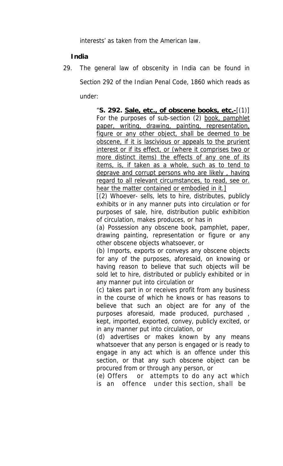interests' as taken from the American law.

# **India**

29. The general law of obscenity in India can be found in Section 292 of the Indian Penal Code, 1860 which reads as under:

> "**S. 292. Sale, etc., of obscene books, etc.-**[(1)] For the purposes of sub-section (2) book, pamphlet paper, writing, drawing, painting, representation, figure or any other object, shall be deemed to be obscene, if it is lascivious or appeals to the prurient interest or if its effect, or (where it comprises two or more distinct items) the effects of any one of its items, is, if taken as a whole, such as to tend to deprave and corrupt persons who are likely , having regard to all relevant circumstances, to read, see or. hear the matter contained or embodied in it.]

> [(2) Whoever- sells, lets to hire, distributes, publicly exhibits or in any manner puts into circulation or for purposes of sale, hire, distribution public exhibition of circulation, makes produces, or has in

> (a) Possession any obscene book, pamphlet, paper, drawing painting, representation or figure or any other obscene objects whatsoever, or

> (b) Imports, exports or conveys any obscene objects for any of the purposes, aforesaid, on knowing or having reason to believe that such objects will be sold let to hire, distributed or publicly exhibited or in any manner put into circulation or

> (c) takes part in or receives profit from any business in the course of which he knows or has reasons to believe that such an object are for any of the purposes aforesaid, made produced, purchased , kept, imported, exported, convey, publicly excited, or in any manner put into circulation, or

> (d) advertises or makes known by any means whatsoever that any person is engaged or is ready to engage in any act which is an offence under this section, or that any such obscene object can be procured from or through any person, or

> (e) Offers or attempts to do any act which is an offence under this section, shall be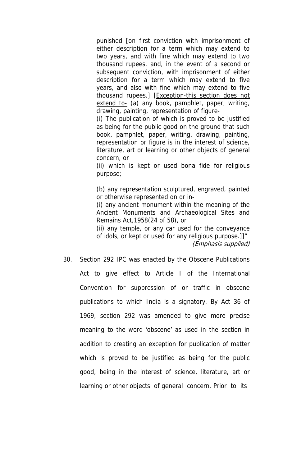punished [on first conviction with imprisonment of either description for a term which may extend to two years, and with fine which may extend to two thousand rupees, and, in the event of a second or subsequent conviction, with imprisonment of either description for a term which may extend to five years, and also with fine which may extend to five thousand rupees.] [Exception-this section does not extend to- (a) any book, pamphlet, paper, writing, drawing, painting, representation of figure-

(i) The publication of which is proved to be justified as being for the public good on the ground that such book, pamphlet, paper, writing, drawing, painting, representation or figure is in the interest of science, literature, art or learning or other objects of general concern, or

(ii) which is kept or used bona fide for religious purpose;

(b) any representation sculptured, engraved, painted or otherwise represented on or in-

(i) any ancient monument within the meaning of the Ancient Monuments and Archaeological Sites and Remains Act,1958(24 of 58), or

(ii) any temple, or any car used for the conveyance of idols, or kept or used for any religious purpose.]]" (Emphasis supplied)

30. Section 292 IPC was enacted by the Obscene Publications Act to give effect to Article I of the International Convention for suppression of or traffic in obscene publications to which India is a signatory. By Act 36 of 1969, section 292 was amended to give more precise meaning to the word 'obscene' as used in the section in addition to creating an exception for publication of matter which is proved to be justified as being for the public good, being in the interest of science, literature, art or learning or other objects of general concern. Prior to its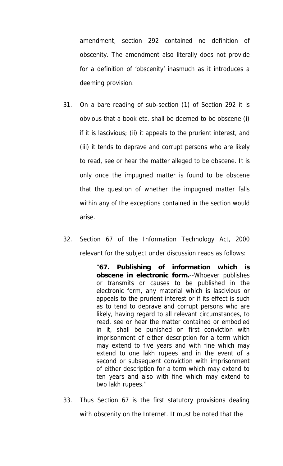amendment, section 292 contained no definition of obscenity. The amendment also literally does not provide for a definition of 'obscenity' inasmuch as it introduces a deeming provision.

- 31. On a bare reading of sub-section (1) of Section 292 it is obvious that a book etc. shall be deemed to be obscene (i) if it is lascivious; (ii) it appeals to the prurient interest, and (iii) it tends to deprave and corrupt persons who are likely to read, see or hear the matter alleged to be obscene. It is only once the impugned matter is found to be obscene that the question of whether the impugned matter falls within any of the exceptions contained in the section would arise.
- 32. Section 67 of the Information Technology Act, 2000 relevant for the subject under discussion reads as follows:

"**67. Publishing of information which is obscene in electronic form.**--Whoever publishes or transmits or causes to be published in the electronic form, any material which is lascivious or appeals to the prurient interest or if its effect is such as to tend to deprave and corrupt persons who are likely, having regard to all relevant circumstances, to read, see or hear the matter contained or embodied in it, shall be punished on first conviction with imprisonment of either description for a term which may extend to five years and with fine which may extend to one lakh rupees and in the event of a second or subsequent conviction with imprisonment of either description for a term which may extend to ten years and also with fine which may extend to two lakh rupees."

33. Thus Section 67 is the first statutory provisions dealing with obscenity on the Internet. It must be noted that the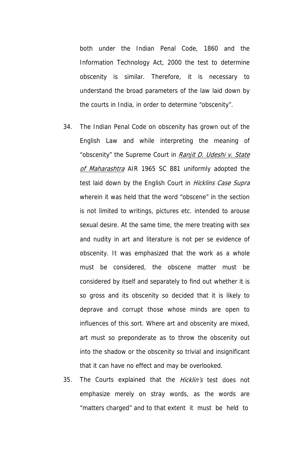both under the Indian Penal Code, 1860 and the Information Technology Act, 2000 the test to determine obscenity is similar. Therefore, it is necessary to understand the broad parameters of the law laid down by the courts in India, in order to determine "obscenity".

- 34. The Indian Penal Code on obscenity has grown out of the English Law and while interpreting the meaning of "obscenity" the Supreme Court in *Ranjit D. Udeshi v. State* of Maharashtra AIR 1965 SC 881 uniformly adopted the test laid down by the English Court in Hicklins Case Supra wherein it was held that the word "obscene" in the section is not limited to writings, pictures etc. intended to arouse sexual desire. At the same time, the mere treating with sex and nudity in art and literature is not per se evidence of obscenity. It was emphasized that the work as a whole must be considered, the obscene matter must be considered by itself and separately to find out whether it is so gross and its obscenity so decided that it is likely to deprave and corrupt those whose minds are open to influences of this sort. Where art and obscenity are mixed, art must so preponderate as to throw the obscenity out into the shadow or the obscenity so trivial and insignificant that it can have no effect and may be overlooked.
- 35. The Courts explained that the Hicklin's test does not emphasize merely on stray words, as the words are "matters charged" and to that extent it must be held to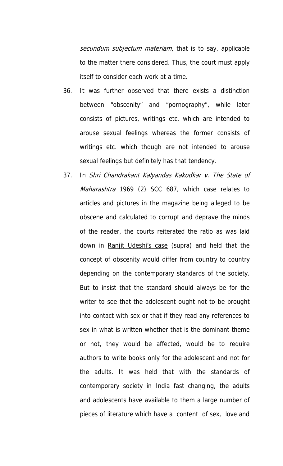secundum subjectum materiam, that is to say, applicable to the matter there considered. Thus, the court must apply itself to consider each work at a time.

- 36. It was further observed that there exists a distinction between "obscenity" and "pornography", while later consists of pictures, writings etc. which are intended to arouse sexual feelings whereas the former consists of writings etc. which though are not intended to arouse sexual feelings but definitely has that tendency.
- 37. In *Shri Chandrakant Kalyandas Kakodkar v. The State of* Maharashtra 1969 (2) SCC 687, which case relates to articles and pictures in the magazine being alleged to be obscene and calculated to corrupt and deprave the minds of the reader, the courts reiterated the ratio as was laid down in Ranjit Udeshi's case (supra) and held that the concept of obscenity would differ from country to country depending on the contemporary standards of the society. But to insist that the standard should always be for the writer to see that the adolescent ought not to be brought into contact with sex or that if they read any references to sex in what is written whether that is the dominant theme or not, they would be affected, would be to require authors to write books only for the adolescent and not for the adults. It was held that with the standards of contemporary society in India fast changing, the adults and adolescents have available to them a large number of pieces of literature which have a content of sex, love and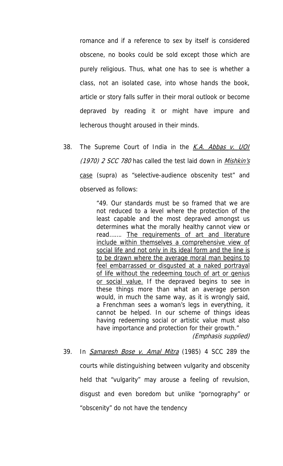romance and if a reference to sex by itself is considered obscene, no books could be sold except those which are purely religious. Thus, what one has to see is whether a class, not an isolated case, into whose hands the book, article or story falls suffer in their moral outlook or become depraved by reading it or might have impure and lecherous thought aroused in their minds.

38. The Supreme Court of India in the K.A. Abbas v. UOI (1970) 2 SCC 780 has called the test laid down in Mishkin's case (supra) as "selective-audience obscenity test" and observed as follows:

> "49. Our standards must be so framed that we are not reduced to a level where the protection of the least capable and the most depraved amongst us determines what the morally healthy cannot view or read……. The requirements of art and literature include within themselves a comprehensive view of social life and not only in its ideal form and the line is to be drawn where the average moral man begins to feel embarrassed or disgusted at a naked portrayal of life without the redeeming touch of art or genius or social value. If the depraved begins to see in these things more than what an average person would, in much the same way, as it is wrongly said, a Frenchman sees a woman's legs in everything, it cannot be helped. In our scheme of things ideas having redeeming social or artistic value must also have importance and protection for their growth."

(Emphasis supplied)

39. In Samaresh Bose v. Amal Mitra (1985) 4 SCC 289 the courts while distinguishing between vulgarity and obscenity held that "vulgarity" may arouse a feeling of revulsion, disgust and even boredom but unlike "pornography" or "obscenity" do not have the tendency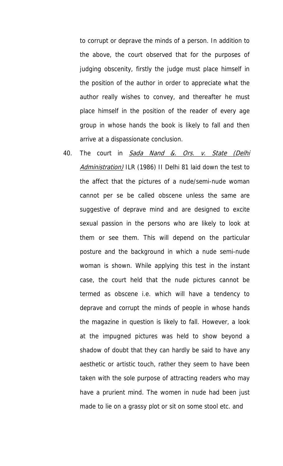to corrupt or deprave the minds of a person. In addition to the above, the court observed that for the purposes of judging obscenity, firstly the judge must place himself in the position of the author in order to appreciate what the author really wishes to convey, and thereafter he must place himself in the position of the reader of every age group in whose hands the book is likely to fall and then arrive at a dispassionate conclusion.

40. The court in Sada Nand &. Ors. v. State (Delhi Administration) ILR (1986) II Delhi 81 laid down the test to the affect that the pictures of a nude/semi-nude woman cannot per se be called obscene unless the same are suggestive of deprave mind and are designed to excite sexual passion in the persons who are likely to look at them or see them. This will depend on the particular posture and the background in which a nude semi-nude woman is shown. While applying this test in the instant case, the court held that the nude pictures cannot be termed as obscene i.e. which will have a tendency to deprave and corrupt the minds of people in whose hands the magazine in question is likely to fall. However, a look at the impugned pictures was held to show beyond a shadow of doubt that they can hardly be said to have any aesthetic or artistic touch, rather they seem to have been taken with the sole purpose of attracting readers who may have a prurient mind. The women in nude had been just made to lie on a grassy plot or sit on some stool etc. and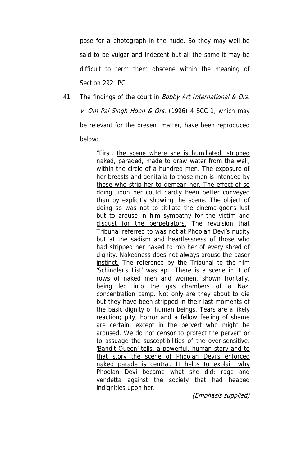pose for a photograph in the nude. So they may well be said to be vulgar and indecent but all the same it may be difficult to term them obscene within the meaning of Section 292 IPC.

41. The findings of the court in Bobby Art International & Ors. v. Om Pal Singh Hoon & Ors. (1996) 4 SCC 1, which may be relevant for the present matter, have been reproduced below:

> "First, the scene where she is humiliated, stripped naked, paraded, made to draw water from the well, within the circle of a hundred men. The exposure of her breasts and genitalia to those men is intended by those who strip her to demean her. The effect of so doing upon her could hardly been better conveyed than by explicitly showing the scene. The object of doing so was not to titillate the cinema-goer's lust but to arouse in him sympathy for the victim and disgust for the perpetrators. The revulsion that Tribunal referred to was not at Phoolan Devi's nudity but at the sadism and heartlessness of those who had stripped her naked to rob her of every shred of dignity. Nakedness does not always arouse the baser instinct. The reference by the Tribunal to the film 'Schindler's List' was apt. There is a scene in it of rows of naked men and women, shown frontally, being led into the gas chambers of a Nazi concentration camp. Not only are they about to die but they have been stripped in their last moments of the basic dignity of human beings. Tears are a likely reaction; pity, horror and a fellow feeling of shame are certain, except in the pervert who might be aroused. We do not censor to protect the pervert or to assuage the susceptibilities of the over-sensitive. 'Bandit Queen' tells, a powerful, human story and to that story the scene of Phoolan Devi's enforced naked parade is central. It helps to explain why Phoolan Devi became what she did: rage and vendetta against the society that had heaped indignities upon her.

> > (Emphasis supplied)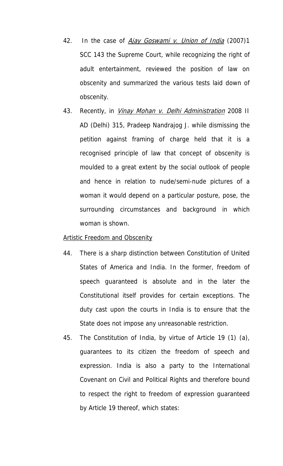- 42. In the case of *Ajay Goswami v. Union of India* (2007)1 SCC 143 the Supreme Court, while recognizing the right of adult entertainment, reviewed the position of law on obscenity and summarized the various tests laid down of obscenity.
- 43. Recently, in *Vinay Mohan v. Delhi Administration* 2008 II AD (Delhi) 315, Pradeep Nandrajog J. while dismissing the petition against framing of charge held that it is a recognised principle of law that concept of obscenity is moulded to a great extent by the social outlook of people and hence in relation to nude/semi-nude pictures of a woman it would depend on a particular posture, pose, the surrounding circumstances and background in which woman is shown.

## Artistic Freedom and Obscenity

- 44. There is a sharp distinction between Constitution of United States of America and India. In the former, freedom of speech guaranteed is absolute and in the later the Constitutional itself provides for certain exceptions. The duty cast upon the courts in India is to ensure that the State does not impose any unreasonable restriction.
- 45. The Constitution of India, by virtue of Article 19 (1) (a), guarantees to its citizen the freedom of speech and expression. India is also a party to the International Covenant on Civil and Political Rights and therefore bound to respect the right to freedom of expression guaranteed by Article 19 thereof, which states: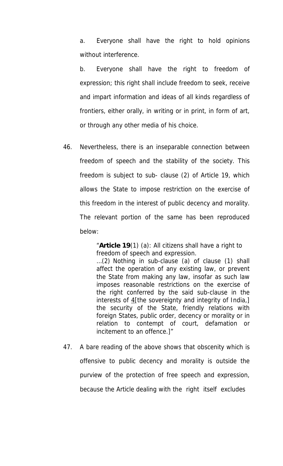a. Everyone shall have the right to hold opinions without interference.

b. Everyone shall have the right to freedom of expression; this right shall include freedom to seek, receive and impart information and ideas of all kinds regardless of frontiers, either orally, in writing or in print, in form of art, or through any other media of his choice.

46. Nevertheless, there is an inseparable connection between freedom of speech and the stability of the society. This freedom is subject to sub- clause (2) of Article 19, which allows the State to impose restriction on the exercise of this freedom in the interest of public decency and morality. The relevant portion of the same has been reproduced below:

> "**Article 19**(1) (a): All citizens shall have a right to freedom of speech and expression.

…(2) Nothing in sub-clause (a) of clause (1) shall affect the operation of any existing law, or prevent the State from making any law, insofar as such law imposes reasonable restrictions on the exercise of the right conferred by the said sub-clause in the interests of  $4$ [the sovereignty and integrity of India,] the security of the State, friendly relations with foreign States, public order, decency or morality or in relation to contempt of court, defamation or incitement to an offence.]"

47. A bare reading of the above shows that obscenity which is offensive to public decency and morality is outside the purview of the protection of free speech and expression, because the Article dealing with the right itself excludes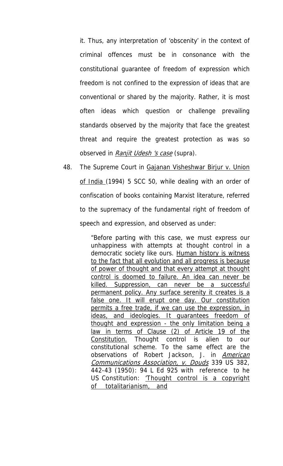it. Thus, any interpretation of 'obscenity' in the context of criminal offences must be in consonance with the constitutional guarantee of freedom of expression which freedom is not confined to the expression of ideas that are conventional or shared by the majority. Rather, it is most often ideas which question or challenge prevailing standards observed by the majority that face the greatest threat and require the greatest protection as was so observed in Ranjit Udesh 's case (supra).

48. The Supreme Court in Gajanan Visheshwar Birjur v. Union of India (1994) 5 SCC 50, while dealing with an order of confiscation of books containing Marxist literature, referred to the supremacy of the fundamental right of freedom of speech and expression, and observed as under:

> "Before parting with this case, we must express our unhappiness with attempts at thought control in a democratic society like ours. Human history is witness to the fact that all evolution and all progress is because of power of thought and that every attempt at thought control is doomed to failure. An idea can never be killed. Suppression, can never be a successful permanent policy. Any surface serenity it creates is a false one. It will erupt one day. Our constitution permits a free trade, if we can use the expression, in ideas, and ideologies. It guarantees freedom of thought and expression - the only limitation being a law in terms of Clause (2) of Article 19 of the Constitution. Thought control is alien to our constitutional scheme. To the same effect are the observations of Robert Jackson, J. in American Communications Association, v. Douds 339 US 382, 442-43 (1950): 94 L Ed 925 with reference to he US Constitution: 'Thought control is a copyright of totalitarianism, and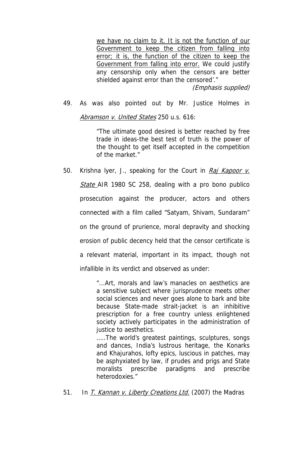we have no claim to it. It is not the function of our Government to keep the citizen from falling into error; it is, the function of the citizen to keep the Government from falling into error. We could justify any censorship only when the censors are better shielded against error than the censored'."

(Emphasis supplied)

49. As was also pointed out by Mr. Justice Holmes in Abramson v. United States 250 u.s. 616:

> "The ultimate good desired is better reached by free trade in ideas-the best test of truth is the power of the thought to get itself accepted in the competition of the market."

50. Krishna lyer, J., speaking for the Court in Raj Kapoor v. State AIR 1980 SC 258, dealing with a pro bono publico prosecution against the producer, actors and others connected with a film called "Satyam, Shivam, Sundaram" on the ground of prurience, moral depravity and shocking erosion of public decency held that the censor certificate is a relevant material, important in its impact, though not infallible in its verdict and observed as under:

> "...Art, morals and law's manacles on aesthetics are a sensitive subject where jurisprudence meets other social sciences and never goes alone to bark and bite because State-made strait-jacket is an inhibitive prescription for a free country unless enlightened society actively participates in the administration of justice to aesthetics.

> …..The world's greatest paintings, sculptures, songs and dances, India's lustrous heritage, the Konarks and Khajurahos, lofty epics, luscious in patches, may be asphyxiated by law, if prudes and prigs and State moralists prescribe paradigms and prescribe heterodoxies."

51. In *T. Kannan v. Liberty Creations Ltd.* (2007) the Madras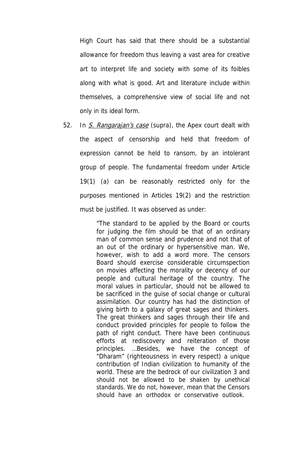High Court has said that there should be a substantial allowance for freedom thus leaving a vast area for creative art to interpret life and society with some of its foibles along with what is good. Art and literature include within themselves, a comprehensive view of social life and not only in its ideal form.

52. In *S. Rangarajan's case* (supra), the Apex court dealt with the aspect of censorship and held that freedom of expression cannot be held to ransom, by an intolerant group of people. The fundamental freedom under Article 19(1) (a) can be reasonably restricted only for the purposes mentioned in Articles 19(2) and the restriction must be justified. It was observed as under:

> "The standard to be applied by the Board or courts for judging the film should be that of an ordinary man of common sense and prudence and not that of an out of the ordinary or hypersensitive man. We, however, wish to add a word more. The censors Board should exercise considerable circumspection on movies affecting the morality or decency of our people and cultural heritage of the country. The moral values in particular, should not be allowed to be sacrificed in the guise of social change or cultural assimilation. Our country has had the distinction of giving birth to a galaxy of great sages and thinkers. The great thinkers and sages through their life and conduct provided principles for people to follow the path of right conduct. There have been continuous efforts at rediscovery and reiteration of those principles. …Besides, we have the concept of "Dharam" (righteousness in every respect) a unique contribution of Indian civilization to humanity of the world. These are the bedrock of our civilization 3 and should not be allowed to be shaken by unethical standards. We do not, however, mean that the Censors should have an orthodox or conservative outlook.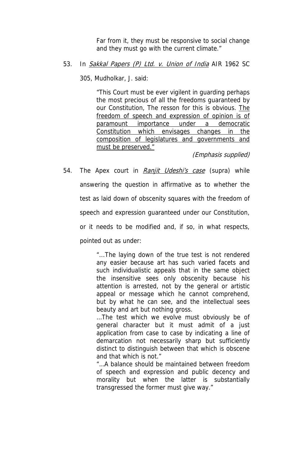Far from it, they must be responsive to social change and they must go with the current climate."

53. In Sakkal Papers (P) Ltd. v. Union of India AIR 1962 SC

305, Mudholkar, J. said:

"This Court must be ever vigilent in guarding perhaps the most precious of all the freedoms guaranteed by our Constitution, The resson for this is obvious. The freedom of speech and expression of opinion is of paramount importance under a democratic Constitution which envisages changes in the composition of legislatures and governments and must be preserved."

(Emphasis supplied)

54. The Apex court in Ranjit Udeshi's case (supra) while answering the question in affirmative as to whether the test as laid down of obscenity squares with the freedom of speech and expression guaranteed under our Constitution, or it needs to be modified and, if so, in what respects, pointed out as under:

> "...The laying down of the true test is not rendered any easier because art has such varied facets and such individualistic appeals that in the same object the insensitive sees only obscenity because his attention is arrested, not by the general or artistic appeal or message which he cannot comprehend, but by what he can see, and the intellectual sees beauty and art but nothing gross.

> …The test which we evolve must obviously be of general character but it must admit of a just application from case to case by indicating a line of demarcation not necessarily sharp but sufficiently distinct to distinguish between that which is obscene and that which is not."

> "…A balance should be maintained between freedom of speech and expression and public decency and morality but when the latter is substantially transgressed the former must give way."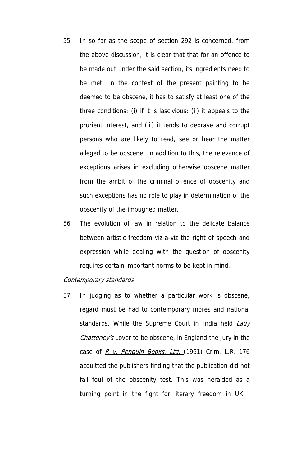- 55. In so far as the scope of section 292 is concerned, from the above discussion, it is clear that that for an offence to be made out under the said section, its ingredients need to be met. In the context of the present painting to be deemed to be obscene, it has to satisfy at least one of the three conditions: (i) if it is lascivious; (ii) it appeals to the prurient interest, and (iii) it tends to deprave and corrupt persons who are likely to read, see or hear the matter alleged to be obscene. In addition to this, the relevance of exceptions arises in excluding otherwise obscene matter from the ambit of the criminal offence of obscenity and such exceptions has no role to play in determination of the obscenity of the impugned matter.
- 56. The evolution of law in relation to the delicate balance between artistic freedom viz-a-viz the right of speech and expression while dealing with the question of obscenity requires certain important norms to be kept in mind.

## Contemporary standards

57. In judging as to whether a particular work is obscene, regard must be had to contemporary mores and national standards. While the Supreme Court in India held Lady Chatterley's Lover to be obscene, in England the jury in the case of R v. Penguin Books, Ltd. (1961) Crim. L.R. 176 acquitted the publishers finding that the publication did not fall foul of the obscenity test. This was heralded as a turning point in the fight for literary freedom in UK.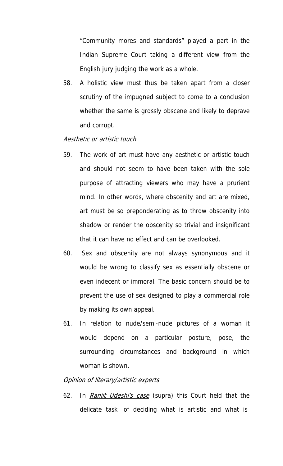"Community mores and standards" played a part in the Indian Supreme Court taking a different view from the English jury judging the work as a whole.

58. A holistic view must thus be taken apart from a closer scrutiny of the impugned subject to come to a conclusion whether the same is grossly obscene and likely to deprave and corrupt.

## Aesthetic or artistic touch

- 59. The work of art must have any aesthetic or artistic touch and should not seem to have been taken with the sole purpose of attracting viewers who may have a prurient mind. In other words, where obscenity and art are mixed, art must be so preponderating as to throw obscenity into shadow or render the obscenity so trivial and insignificant that it can have no effect and can be overlooked.
- 60. Sex and obscenity are not always synonymous and it would be wrong to classify sex as essentially obscene or even indecent or immoral. The basic concern should be to prevent the use of sex designed to play a commercial role by making its own appeal.
- 61. In relation to nude/semi-nude pictures of a woman it would depend on a particular posture, pose, the surrounding circumstances and background in which woman is shown.

# Opinion of literary/artistic experts

62. In Raniit Udeshi's case (supra) this Court held that the delicate task of deciding what is artistic and what is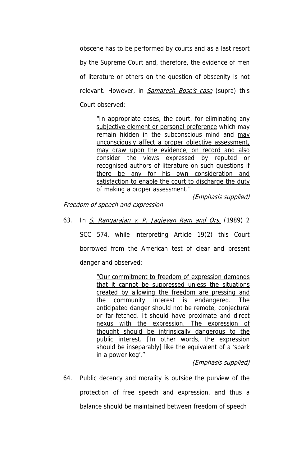obscene has to be performed by courts and as a last resort by the Supreme Court and, therefore, the evidence of men of literature or others on the question of obscenity is not relevant. However, in **Samaresh Bose's case** (supra) this Court observed:

"In appropriate cases, the court, for eliminating any subjective element or personal preference which may remain hidden in the subconscious mind and may unconsciously affect a proper objective assessment, may draw upon the evidence, on record and also consider the views expressed by reputed or recognised authors of literature on such questions if there be any for his own consideration and satisfaction to enable the court to discharge the duty of making a proper assessment."

(Emphasis supplied)

Freedom of speech and expression

63. In *S. Rangarajan v. P. Jagjevan Ram and Ors.* (1989) 2 SCC 574, while interpreting Article 19(2) this Court borrowed from the American test of clear and present danger and observed:

> "Our commitment to freedom of expression demands that it cannot be suppressed unless the situations created by allowing the freedom are pressing and the community interest is endangered. The anticipated danger should not be remote, conjectural or far-fetched. It should have proximate and direct nexus with the expression. The expression of thought should be intrinsically dangerous to the public interest. [In other words, the expression should be inseparably] like the equivalent of a 'spark in a power keg'."

> > (Emphasis supplied)

64. Public decency and morality is outside the purview of the protection of free speech and expression, and thus a balance should be maintained between freedom of speech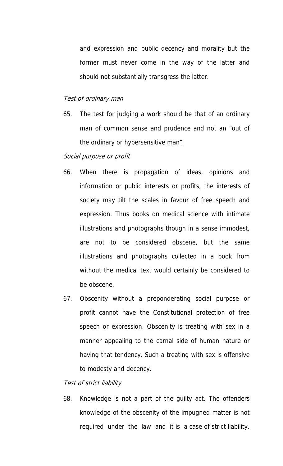and expression and public decency and morality but the former must never come in the way of the latter and should not substantially transgress the latter.

## Test of ordinary man

65. The test for judging a work should be that of an ordinary man of common sense and prudence and not an "out of the ordinary or hypersensitive man".

## Social purpose or profit

- 66. When there is propagation of ideas, opinions and information or public interests or profits, the interests of society may tilt the scales in favour of free speech and expression. Thus books on medical science with intimate illustrations and photographs though in a sense immodest, are not to be considered obscene, but the same illustrations and photographs collected in a book from without the medical text would certainly be considered to be obscene.
- 67. Obscenity without a preponderating social purpose or profit cannot have the Constitutional protection of free speech or expression. Obscenity is treating with sex in a manner appealing to the carnal side of human nature or having that tendency. Such a treating with sex is offensive to modesty and decency.

## Test of strict liability

68. Knowledge is not a part of the guilty act. The offenders knowledge of the obscenity of the impugned matter is not required under the law and it is a case of strict liability.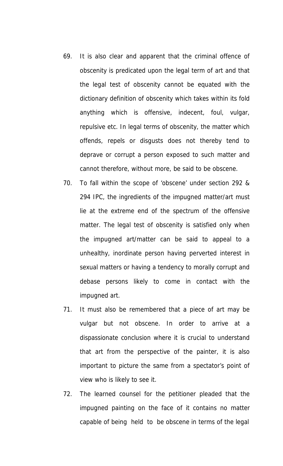- 69. It is also clear and apparent that the criminal offence of obscenity is predicated upon the legal term of art and that the legal test of obscenity cannot be equated with the dictionary definition of obscenity which takes within its fold anything which is offensive, indecent, foul, vulgar, repulsive etc. In legal terms of obscenity, the matter which offends, repels or disgusts does not thereby tend to deprave or corrupt a person exposed to such matter and cannot therefore, without more, be said to be obscene.
- 70. To fall within the scope of 'obscene' under section 292 & 294 IPC, the ingredients of the impugned matter/art must lie at the extreme end of the spectrum of the offensive matter. The legal test of obscenity is satisfied only when the impugned art/matter can be said to appeal to a unhealthy, inordinate person having perverted interest in sexual matters or having a tendency to morally corrupt and debase persons likely to come in contact with the impugned art.
- 71. It must also be remembered that a piece of art may be vulgar but not obscene. In order to arrive at a dispassionate conclusion where it is crucial to understand that art from the perspective of the painter, it is also important to picture the same from a spectator's point of view who is likely to see it.
- 72. The learned counsel for the petitioner pleaded that the impugned painting on the face of it contains no matter capable of being held to be obscene in terms of the legal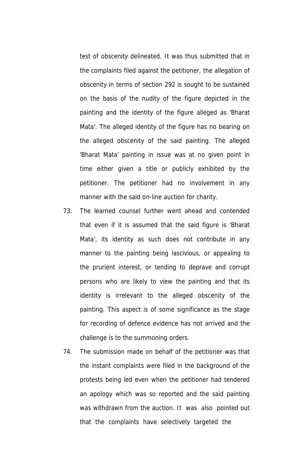test of obscenity delineated. It was thus submitted that in the complaints filed against the petitioner, the allegation of obscenity in terms of section 292 is sought to be sustained on the basis of the nudity of the figure depicted in the painting and the identity of the figure alleged as 'Bharat Mata'. The alleged identity of the figure has no bearing on the alleged obscenity of the said painting. The alleged 'Bharat Mata' painting in issue was at no given point in time either given a title or publicly exhibited by the petitioner. The petitioner had no involvement in any manner with the said on-line auction for charity.

- 73. The learned counsel further went ahead and contended that even if it is assumed that the said figure is 'Bharat Mata', its identity as such does not contribute in any manner to the painting being lascivious, or appealing to the prurient interest, or tending to deprave and corrupt persons who are likely to view the painting and that its identity is irrelevant to the alleged obscenity of the painting. This aspect is of some significance as the stage for recording of defence evidence has not arrived and the challenge is to the summoning orders.
- 74. The submission made on behalf of the petitioner was that the instant complaints were filed in the background of the protests being led even when the petitioner had tendered an apology which was so reported and the said painting was withdrawn from the auction. It was also pointed out that the complaints have selectively targeted the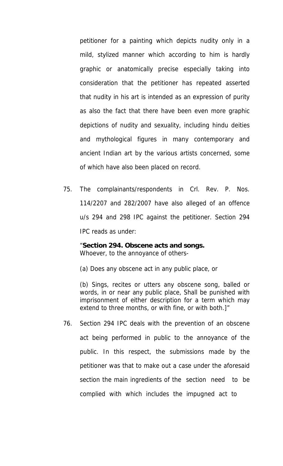petitioner for a painting which depicts nudity only in a mild, stylized manner which according to him is hardly graphic or anatomically precise especially taking into consideration that the petitioner has repeated asserted that nudity in his art is intended as an expression of purity as also the fact that there have been even more graphic depictions of nudity and sexuality, including hindu deities and mythological figures in many contemporary and ancient Indian art by the various artists concerned, some of which have also been placed on record.

75. The complainants/respondents in Crl. Rev. P. Nos. 114/2207 and 282/2007 have also alleged of an offence u/s 294 and 298 IPC against the petitioner. Section 294 IPC reads as under:

"**Section 294. Obscene acts and songs.** Whoever, to the annoyance of others-

(a) Does any obscene act in any public place, or

(b) Sings, recites or utters any obscene song, balled or words, in or near any public place, Shall be punished with imprisonment of either description for a term which may extend to three months, or with fine, or with both.]"

76. Section 294 IPC deals with the prevention of an obscene act being performed in public to the annoyance of the public. In this respect, the submissions made by the petitioner was that to make out a case under the aforesaid section the main ingredients of the section need to be complied with which includes the impugned act to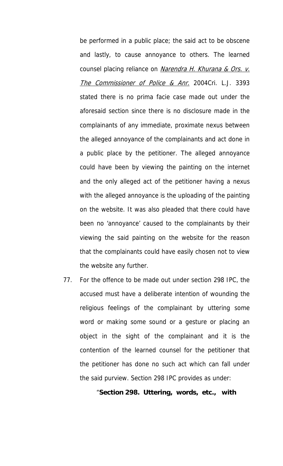be performed in a public place; the said act to be obscene and lastly, to cause annoyance to others. The learned counsel placing reliance on *Narendra H. Khurana & Ors. v.* The Commissioner of Police & Anr. 2004Cri. L.J. 3393 stated there is no prima facie case made out under the aforesaid section since there is no disclosure made in the complainants of any immediate, proximate nexus between the alleged annoyance of the complainants and act done in a public place by the petitioner. The alleged annoyance could have been by viewing the painting on the internet and the only alleged act of the petitioner having a nexus with the alleged annoyance is the uploading of the painting on the website. It was also pleaded that there could have been no 'annoyance' caused to the complainants by their viewing the said painting on the website for the reason that the complainants could have easily chosen not to view the website any further.

77. For the offence to be made out under section 298 IPC, the accused must have a deliberate intention of wounding the religious feelings of the complainant by uttering some word or making some sound or a gesture or placing an object in the sight of the complainant and it is the contention of the learned counsel for the petitioner that the petitioner has done no such act which can fall under the said purview. Section 298 IPC provides as under:

"**Section 298. Uttering, words, etc., with**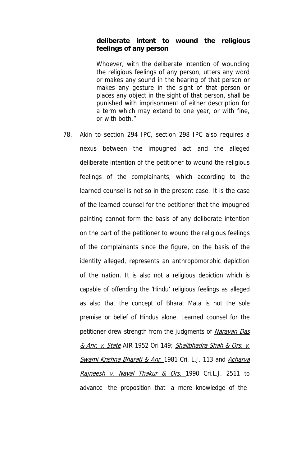# **deliberate intent to wound the religious feelings of any person**

Whoever, with the deliberate intention of wounding the religious feelings of any person, utters any word or makes any sound in the hearing of that person or makes any gesture in the sight of that person or places any object in the sight of that person, shall be punished with imprisonment of either description for a term which may extend to one year, or with fine, or with both."

78. Akin to section 294 IPC, section 298 IPC also requires a nexus between the impugned act and the alleged deliberate intention of the petitioner to wound the religious feelings of the complainants, which according to the learned counsel is not so in the present case. It is the case of the learned counsel for the petitioner that the impugned painting cannot form the basis of any deliberate intention on the part of the petitioner to wound the religious feelings of the complainants since the figure, on the basis of the identity alleged, represents an anthropomorphic depiction of the nation. It is also not a religious depiction which is capable of offending the 'Hindu' religious feelings as alleged as also that the concept of Bharat Mata is not the sole premise or belief of Hindus alone. Learned counsel for the petitioner drew strength from the judgments of Narayan Das & Anr. v. State AIR 1952 Ori 149; Shalibhadra Shah & Ors. v. Swami Krishna Bharati & Anr. 1981 Cri. L.J. 113 and Acharya Rajneesh v. Naval Thakur & Ors. 1990 Cri.L.J. 2511 to advance the proposition that a mere knowledge of the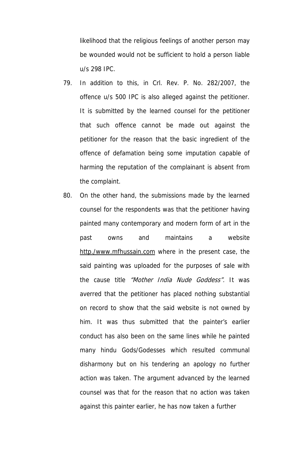likelihood that the religious feelings of another person may be wounded would not be sufficient to hold a person liable u/s 298 IPC.

- 79. In addition to this, in Crl. Rev. P. No. 282/2007, the offence u/s 500 IPC is also alleged against the petitioner. It is submitted by the learned counsel for the petitioner that such offence cannot be made out against the petitioner for the reason that the basic ingredient of the offence of defamation being some imputation capable of harming the reputation of the complainant is absent from the complaint.
- 80. On the other hand, the submissions made by the learned counsel for the respondents was that the petitioner having painted many contemporary and modern form of art in the past owns and maintains a website http./www.mfhussain.com where in the present case, the said painting was uploaded for the purposes of sale with the cause title "Mother India Nude Goddess". It was averred that the petitioner has placed nothing substantial on record to show that the said website is not owned by him. It was thus submitted that the painter's earlier conduct has also been on the same lines while he painted many hindu Gods/Godesses which resulted communal disharmony but on his tendering an apology no further action was taken. The argument advanced by the learned counsel was that for the reason that no action was taken against this painter earlier, he has now taken a further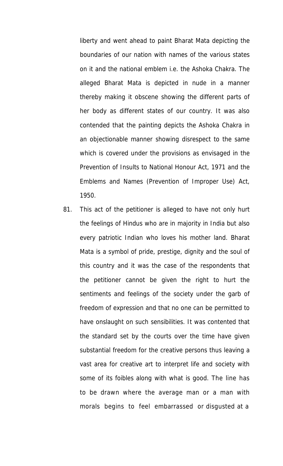liberty and went ahead to paint Bharat Mata depicting the boundaries of our nation with names of the various states on it and the national emblem i.e. the Ashoka Chakra. The alleged Bharat Mata is depicted in nude in a manner thereby making it obscene showing the different parts of her body as different states of our country. It was also contended that the painting depicts the Ashoka Chakra in an objectionable manner showing disrespect to the same which is covered under the provisions as envisaged in the Prevention of Insults to National Honour Act, 1971 and the Emblems and Names (Prevention of Improper Use) Act, 1950.

81. This act of the petitioner is alleged to have not only hurt the feelings of Hindus who are in majority in India but also every patriotic Indian who loves his mother land. Bharat Mata is a symbol of pride, prestige, dignity and the soul of this country and it was the case of the respondents that the petitioner cannot be given the right to hurt the sentiments and feelings of the society under the garb of freedom of expression and that no one can be permitted to have onslaught on such sensibilities. It was contented that the standard set by the courts over the time have given substantial freedom for the creative persons thus leaving a vast area for creative art to interpret life and society with some of its foibles along with what is good. The line has to be drawn where the average man or a man with morals begins to feel embarrassed or disgusted at a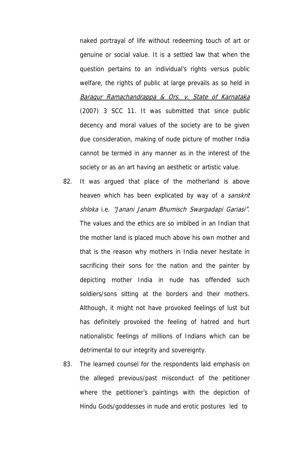naked portrayal of life without redeeming touch of art or genuine or social value. It is a settled law that when the question pertains to an individual's rights versus public welfare, the rights of public at large prevails as so held in Baragur Ramachandrappa & Ors. v. State of Karnataka (2007) 3 SCC 11. It was submitted that since public decency and moral values of the society are to be given due consideration, making of nude picture of mother India cannot be termed in any manner as in the interest of the society or as an art having an aesthetic or artistic value.

- 82. It was argued that place of the motherland is above heaven which has been explicated by way of a sanskrit shloka i.e. "Janani Janam Bhumisch Swargadapi Gariasi". The values and the ethics are so imbibed in an Indian that the mother land is placed much above his own mother and that is the reason why mothers in India never hesitate in sacrificing their sons for the nation and the painter by depicting mother India in nude has offended such soldiers/sons sitting at the borders and their mothers. Although, it might not have provoked feelings of lust but has definitely provoked the feeling of hatred and hurt nationalistic feelings of millions of Indians which can be detrimental to our integrity and sovereignty.
- 83. The learned counsel for the respondents laid emphasis on the alleged previous/past misconduct of the petitioner where the petitioner's paintings with the depiction of Hindu Gods/goddesses in nude and erotic postures led to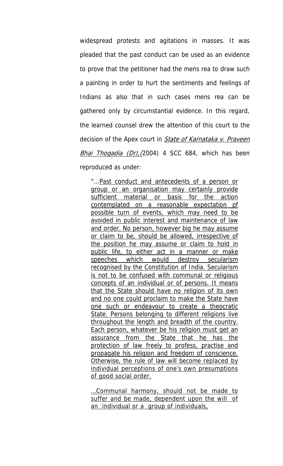widespread protests and agitations in masses. It was pleaded that the past conduct can be used as an evidence to prove that the petitioner had the mens rea to draw such a painting in order to hurt the sentiments and feelings of Indians as also that in such cases mens rea can be gathered only by circumstantial evidence. In this regard, the learned counsel drew the attention of this court to the decision of the Apex court in State of Karnataka v. Praveen Bhai Thogadia (Dr), (2004) 4 SCC 684, which has been reproduced as under:

"...Past conduct and antecedents of a person or group or an organisation may certainly provide sufficient material or basis for the action contemplated on a reasonable expectation pf possible turn of events, which may need to be avoided in public interest and maintenance of law and order. No person, however big he may assume or claim to be, should be allowed, irrespective of the position he may assume or claim to hold in public life, to either act in a manner or make speeches which would destroy secularism recognised by the Constitution of India. Secularism is not to be confused with communal or religious concepts of an individual or of persons. It means that the State should have no religion of its own and no one could proclaim to make the State have one such or endeavour to create a theocratic State. Persons belonging to different religions live throughout the length and breadth of the country. Each person, whatever be his religion must get an assurance from the State that he has the protection of law freely to profess, practise and propagate his religion and freedom of conscience. Otherwise, the rule of law will become replaced by individual perceptions of one's own presumptions of good social order.

…Communal harmony, should not be made to suffer and be made, dependent upon the will of an individual or a group of individuals,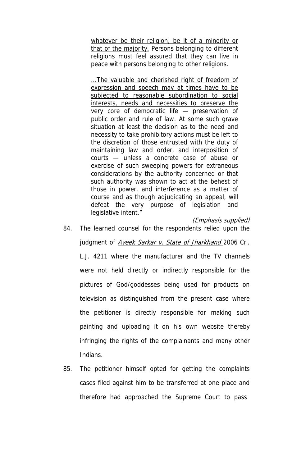whatever be their religion, be it of a minority or that of the majority. Persons belonging to different religions must feel assured that they can live in peace with persons belonging to other religions.

...The valuable and cherished right of freedom of expression and speech may at times have to be subjected to reasonable subordination to social interests, needs and necessities to preserve the very core of democratic life — preservation of public order and rule of law. At some such grave situation at least the decision as to the need and necessity to take prohibitory actions must be left to the discretion of those entrusted with the duty of maintaining law and order, and interposition of courts — unless a concrete case of abuse or exercise of such sweeping powers for extraneous considerations by the authority concerned or that such authority was shown to act at the behest of those in power, and interference as a matter of course and as though adjudicating an appeal, will defeat the very purpose of legislation and legislative intent."

(Emphasis supplied)

84. The learned counsel for the respondents relied upon the judgment of **Aveek Sarkar v. State of Jharkhand** 2006 Cri. L.J. 4211 where the manufacturer and the TV channels were not held directly or indirectly responsible for the pictures of God/goddesses being used for products on television as distinguished from the present case where the petitioner is directly responsible for making such painting and uploading it on his own website thereby infringing the rights of the complainants and many other Indians.

85. The petitioner himself opted for getting the complaints cases filed against him to be transferred at one place and therefore had approached the Supreme Court to pass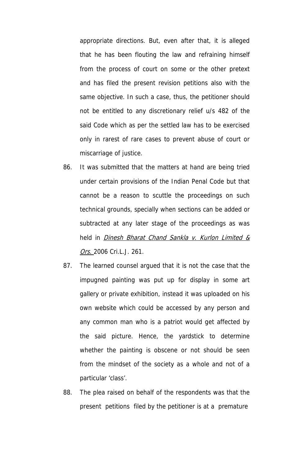appropriate directions. But, even after that, it is alleged that he has been flouting the law and refraining himself from the process of court on some or the other pretext and has filed the present revision petitions also with the same objective. In such a case, thus, the petitioner should not be entitled to any discretionary relief u/s 482 of the said Code which as per the settled law has to be exercised only in rarest of rare cases to prevent abuse of court or miscarriage of justice.

- 86. It was submitted that the matters at hand are being tried under certain provisions of the Indian Penal Code but that cannot be a reason to scuttle the proceedings on such technical grounds, specially when sections can be added or subtracted at any later stage of the proceedings as was held in *Dinesh Bharat Chand Sankla v. Kurlon Limited &* Ors. 2006 Cri.L.J. 261.
- 87. The learned counsel argued that it is not the case that the impugned painting was put up for display in some art gallery or private exhibition, instead it was uploaded on his own website which could be accessed by any person and any common man who is a patriot would get affected by the said picture. Hence, the yardstick to determine whether the painting is obscene or not should be seen from the mindset of the society as a whole and not of a particular 'class'.
- 88. The plea raised on behalf of the respondents was that the present petitions filed by the petitioner is at a premature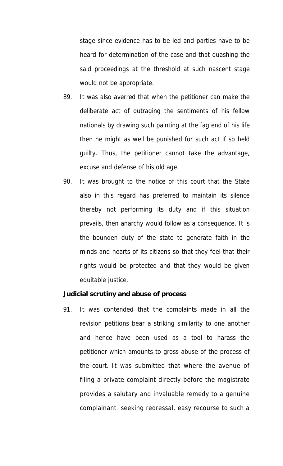stage since evidence has to be led and parties have to be heard for determination of the case and that quashing the said proceedings at the threshold at such nascent stage would not be appropriate.

- 89. It was also averred that when the petitioner can make the deliberate act of outraging the sentiments of his fellow nationals by drawing such painting at the fag end of his life then he might as well be punished for such act if so held guilty. Thus, the petitioner cannot take the advantage, excuse and defense of his old age.
- 90. It was brought to the notice of this court that the State also in this regard has preferred to maintain its silence thereby not performing its duty and if this situation prevails, then anarchy would follow as a consequence. It is the bounden duty of the state to generate faith in the minds and hearts of its citizens so that they feel that their rights would be protected and that they would be given equitable justice.

## **Judicial scrutiny and abuse of process**

91. It was contended that the complaints made in all the revision petitions bear a striking similarity to one another and hence have been used as a tool to harass the petitioner which amounts to gross abuse of the process of the court. It was submitted that where the avenue of filing a private complaint directly before the magistrate provides a salutary and invaluable remedy to a genuine complainant seeking redressal, easy recourse to such a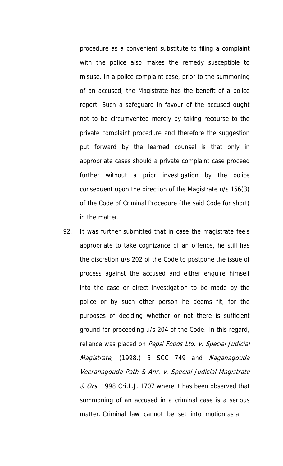procedure as a convenient substitute to filing a complaint with the police also makes the remedy susceptible to misuse. In a police complaint case, prior to the summoning of an accused, the Magistrate has the benefit of a police report. Such a safeguard in favour of the accused ought not to be circumvented merely by taking recourse to the private complaint procedure and therefore the suggestion put forward by the learned counsel is that only in appropriate cases should a private complaint case proceed further without a prior investigation by the police consequent upon the direction of the Magistrate u/s 156(3) of the Code of Criminal Procedure (the said Code for short) in the matter.

92. It was further submitted that in case the magistrate feels appropriate to take cognizance of an offence, he still has the discretion u/s 202 of the Code to postpone the issue of process against the accused and either enquire himself into the case or direct investigation to be made by the police or by such other person he deems fit, for the purposes of deciding whether or not there is sufficient ground for proceeding u/s 204 of the Code. In this regard, reliance was placed on *Pepsi Foods Ltd. v. Special Judicial* Magistrate, (1998.) 5 SCC 749 and Naganagouda Veeranagouda Path & Anr. v. Special Judicial Magistrate & Ors. 1998 Cri.L.J. 1707 where it has been observed that summoning of an accused in a criminal case is a serious matter. Criminal law cannot be set into motion as a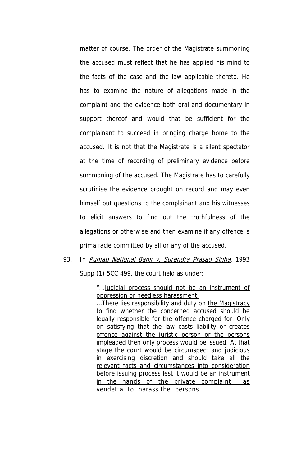matter of course. The order of the Magistrate summoning the accused must reflect that he has applied his mind to the facts of the case and the law applicable thereto. He has to examine the nature of allegations made in the complaint and the evidence both oral and documentary in support thereof and would that be sufficient for the complainant to succeed in bringing charge home to the accused. It is not that the Magistrate is a silent spectator at the time of recording of preliminary evidence before summoning of the accused. The Magistrate has to carefully scrutinise the evidence brought on record and may even himself put questions to the complainant and his witnesses to elicit answers to find out the truthfulness of the allegations or otherwise and then examine if any offence is prima facie committed by all or any of the accused.

93. In Punjab National Bank v. Surendra Prasad Sinha, 1993 Supp (1) 5CC 499, the court held as under:

> "...judicial process should not be an instrument of oppression or needless harassment.

> ... There lies responsibility and duty on the Magistracy to find whether the concerned accused should be legally responsible for the offence charged for. Only on satisfying that the law casts liability or creates offence against the juristic person or the persons impleaded then only process would be issued. At that stage the court would be circumspect and judicious in exercising discretion and should take all the relevant facts and circumstances into consideration before issuing process lest it would be an instrument in the hands of the private complaint as vendetta to harass the persons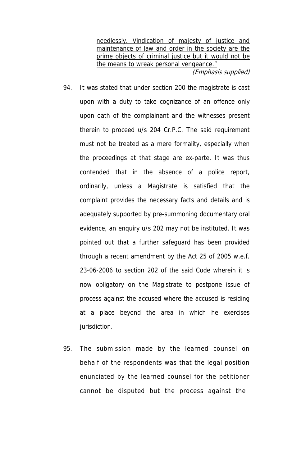needlessly. Vindication of majesty of justice and maintenance of law and order in the society are the prime objects of criminal justice but it would not be the means to wreak personal vengeance."

(Emphasis supplied)

- 94. It was stated that under section 200 the magistrate is cast upon with a duty to take cognizance of an offence only upon oath of the complainant and the witnesses present therein to proceed u/s 204 Cr.P.C. The said requirement must not be treated as a mere formality, especially when the proceedings at that stage are ex-parte. It was thus contended that in the absence of a police report, ordinarily, unless a Magistrate is satisfied that the complaint provides the necessary facts and details and is adequately supported by pre-summoning documentary oral evidence, an enquiry u/s 202 may not be instituted. It was pointed out that a further safeguard has been provided through a recent amendment by the Act 25 of 2005 w.e.f. 23-06-2006 to section 202 of the said Code wherein it is now obligatory on the Magistrate to postpone issue of process against the accused where the accused is residing at a place beyond the area in which he exercises jurisdiction.
- 95. The submission made by the learned counsel on behalf of the respondents was that the legal position enunciated by the learned counsel for the petitioner cannot be disputed but the process against the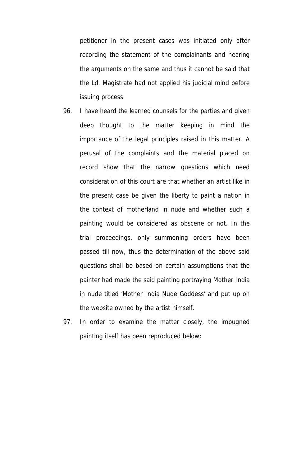petitioner in the present cases was initiated only after recording the statement of the complainants and hearing the arguments on the same and thus it cannot be said that the Ld. Magistrate had not applied his judicial mind before issuing process.

- 96. I have heard the learned counsels for the parties and given deep thought to the matter keeping in mind the importance of the legal principles raised in this matter. A perusal of the complaints and the material placed on record show that the narrow questions which need consideration of this court are that whether an artist like in the present case be given the liberty to paint a nation in the context of motherland in nude and whether such a painting would be considered as obscene or not. In the trial proceedings, only summoning orders have been passed till now, thus the determination of the above said questions shall be based on certain assumptions that the painter had made the said painting portraying Mother India in nude titled 'Mother India Nude Goddess' and put up on the website owned by the artist himself.
- 97. In order to examine the matter closely, the impugned painting itself has been reproduced below: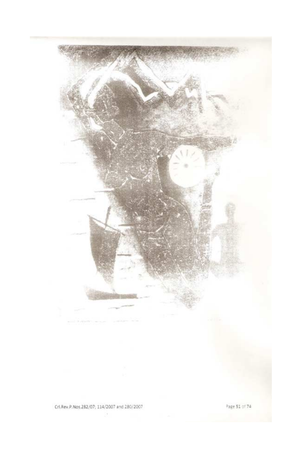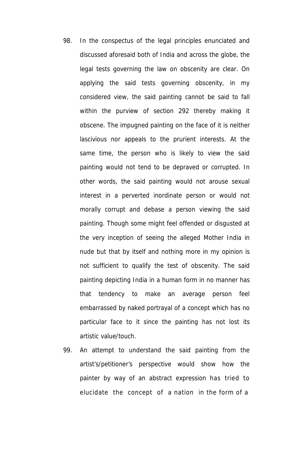- 98. In the conspectus of the legal principles enunciated and discussed aforesaid both of India and across the globe, the legal tests governing the law on obscenity are clear. On applying the said tests governing obscenity, in my considered view, the said painting cannot be said to fall within the purview of section 292 thereby making it obscene. The impugned painting on the face of it is neither lascivious nor appeals to the prurient interests. At the same time, the person who is likely to view the said painting would not tend to be depraved or corrupted. In other words, the said painting would not arouse sexual interest in a perverted inordinate person or would not morally corrupt and debase a person viewing the said painting. Though some might feel offended or disgusted at the very inception of seeing the alleged Mother India in nude but that by itself and nothing more in my opinion is not sufficient to qualify the test of obscenity. The said painting depicting India in a human form in no manner has that tendency to make an average person feel embarrassed by naked portrayal of a concept which has no particular face to it since the painting has not lost its artistic value/touch.
- 99. An attempt to understand the said painting from the artist's/petitioner's perspective would show how the painter by way of an abstract expression has tried to elucidate the concept of a nation in the form of a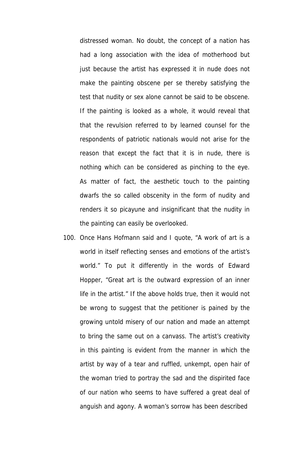distressed woman. No doubt, the concept of a nation has had a long association with the idea of motherhood but just because the artist has expressed it in nude does not make the painting obscene per se thereby satisfying the test that nudity or sex alone cannot be said to be obscene. If the painting is looked as a whole, it would reveal that that the revulsion referred to by learned counsel for the respondents of patriotic nationals would not arise for the reason that except the fact that it is in nude, there is nothing which can be considered as pinching to the eye. As matter of fact, the aesthetic touch to the painting dwarfs the so called obscenity in the form of nudity and renders it so picayune and insignificant that the nudity in the painting can easily be overlooked.

100. Once Hans Hofmann said and I quote, "A work of art is a world in itself reflecting senses and emotions of the artist's world." To put it differently in the words of Edward Hopper, "Great art is the outward expression of an inner life in the artist." If the above holds true, then it would not be wrong to suggest that the petitioner is pained by the growing untold misery of our nation and made an attempt to bring the same out on a canvass. The artist's creativity in this painting is evident from the manner in which the artist by way of a tear and ruffled, unkempt, open hair of the woman tried to portray the sad and the dispirited face of our nation who seems to have suffered a great deal of anguish and agony. A woman's sorrow has been described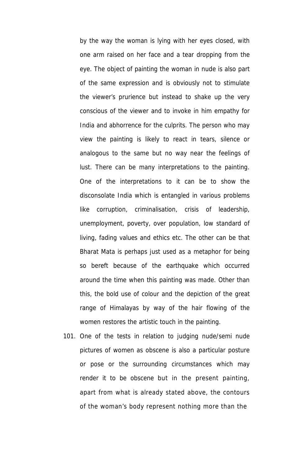by the way the woman is lying with her eyes closed, with one arm raised on her face and a tear dropping from the eye. The object of painting the woman in nude is also part of the same expression and is obviously not to stimulate the viewer's prurience but instead to shake up the very conscious of the viewer and to invoke in him empathy for India and abhorrence for the culprits. The person who may view the painting is likely to react in tears, silence or analogous to the same but no way near the feelings of lust. There can be many interpretations to the painting. One of the interpretations to it can be to show the disconsolate India which is entangled in various problems like corruption, criminalisation, crisis of leadership, unemployment, poverty, over population, low standard of living, fading values and ethics etc. The other can be that Bharat Mata is perhaps just used as a metaphor for being so bereft because of the earthquake which occurred around the time when this painting was made. Other than this, the bold use of colour and the depiction of the great range of Himalayas by way of the hair flowing of the women restores the artistic touch in the painting.

101. One of the tests in relation to judging nude/semi nude pictures of women as obscene is also a particular posture or pose or the surrounding circumstances which may render it to be obscene but in the present painting, apart from what is already stated above, the contours of the woman's body represent nothing more than the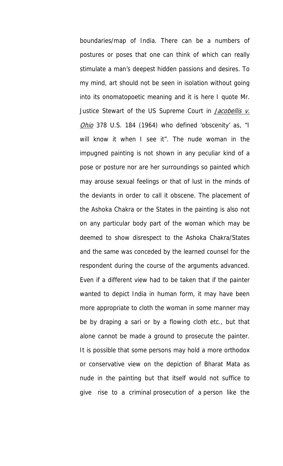boundaries/map of India. There can be a numbers of postures or poses that one can think of which can really stimulate a man's deepest hidden passions and desires. To my mind, art should not be seen in isolation without going into its onomatopoetic meaning and it is here I quote Mr. Justice Stewart of the US Supreme Court in *Jacobellis v.* Ohio 378 U.S. 184 (1964) who defined 'obscenity' as, "I will know it when I see it". The nude woman in the impugned painting is not shown in any peculiar kind of a pose or posture nor are her surroundings so painted which may arouse sexual feelings or that of lust in the minds of the deviants in order to call it obscene. The placement of the Ashoka Chakra or the States in the painting is also not on any particular body part of the woman which may be deemed to show disrespect to the Ashoka Chakra/States and the same was conceded by the learned counsel for the respondent during the course of the arguments advanced. Even if a different view had to be taken that if the painter wanted to depict India in human form, it may have been more appropriate to cloth the woman in some manner may be by draping a sari or by a flowing cloth etc., but that alone cannot be made a ground to prosecute the painter. It is possible that some persons may hold a more orthodox or conservative view on the depiction of Bharat Mata as nude in the painting but that itself would not suffice to give rise to a criminal prosecution of a person like the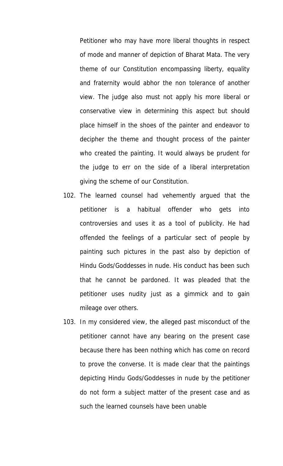Petitioner who may have more liberal thoughts in respect of mode and manner of depiction of Bharat Mata. The very theme of our Constitution encompassing liberty, equality and fraternity would abhor the non tolerance of another view. The judge also must not apply his more liberal or conservative view in determining this aspect but should place himself in the shoes of the painter and endeavor to decipher the theme and thought process of the painter who created the painting. It would always be prudent for the judge to err on the side of a liberal interpretation giving the scheme of our Constitution.

- 102. The learned counsel had vehemently argued that the petitioner is a habitual offender who gets into controversies and uses it as a tool of publicity. He had offended the feelings of a particular sect of people by painting such pictures in the past also by depiction of Hindu Gods/Goddesses in nude. His conduct has been such that he cannot be pardoned. It was pleaded that the petitioner uses nudity just as a gimmick and to gain mileage over others.
- 103. In my considered view, the alleged past misconduct of the petitioner cannot have any bearing on the present case because there has been nothing which has come on record to prove the converse. It is made clear that the paintings depicting Hindu Gods/Goddesses in nude by the petitioner do not form a subject matter of the present case and as such the learned counsels have been unable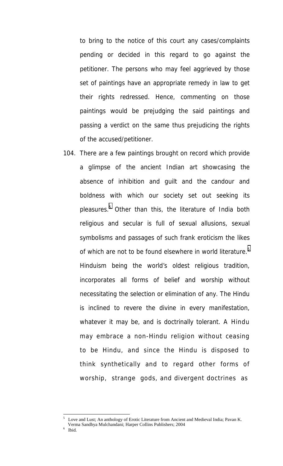to bring to the notice of this court any cases/complaints pending or decided in this regard to go against the petitioner. The persons who may feel aggrieved by those set of paintings have an appropriate remedy in law to get their rights redressed. Hence, commenting on those paintings would be prejudging the said paintings and passing a verdict on the same thus prejudicing the rights of the accused/petitioner.

104. There are a few paintings brought on record which provide a glimpse of the ancient Indian art showcasing the absence of inhibition and guilt and the candour and boldness with which our society set out seeking its pleasures.<sup>5</sup> Other than this, the literature of India both religious and secular is full of sexual allusions, sexual symbolisms and passages of such frank eroticism the likes of which are not to be found elsewhere in world literature.<sup>6</sup> Hinduism being the world's oldest religious tradition, incorporates all forms of belief and worship without necessitating the selection or elimination of any. The Hindu is inclined to revere the divine in every manifestation, whatever it may be, and is doctrinally tolerant. A Hindu may embrace a non-Hindu religion without ceasing to be Hindu, and since the Hindu is disposed to think synthetically and to regard other forms of worship, strange gods, and divergent doctrines as

<sup>5</sup> Love and Lust; An anthology of Erotic Literature from Ancient and Medieval India; Pavan K. Verma Sandhya Mulchandani; Harper Collins Publishers; 2004

<sup>6</sup> Ibid.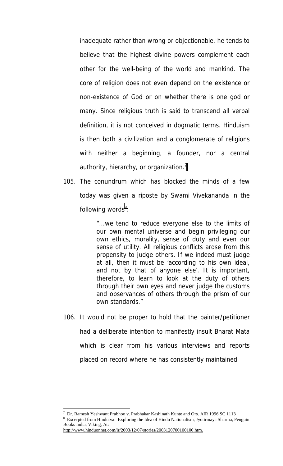inadequate rather than wrong or objectionable, he tends to believe that the highest divine powers complement each other for the well-being of the world and mankind. The core of religion does not even depend on the existence or non-existence of God or on whether there is one god or many. Since religious truth is said to transcend all verbal definition, it is not conceived in dogmatic terms. Hinduism is then both a civilization and a conglomerate of religions with neither a beginning, a founder, nor a central authority, hierarchy, or organization.<sup>7</sup>

105. The conundrum which has blocked the minds of a few today was given a riposte by Swami Vivekananda in the following words<sup>8</sup>:

> "...we tend to reduce everyone else to the limits of our own mental universe and begin privileging our own ethics, morality, sense of duty and even our sense of utility. All religious conflicts arose from this propensity to judge others. If we indeed must judge at all, then it must be 'according to his own ideal, and not by that of anyone else'. It is important, therefore, to learn to look at the duty of others through their own eyes and never judge the customs and observances of others through the prism of our own standards."

106. It would not be proper to hold that the painter/petitioner had a deliberate intention to manifestly insult Bharat Mata which is clear from his various interviews and reports placed on record where he has consistently maintained

<sup>7</sup> Dr. Ramesh Yeshwant Prabhoo v. Prabhakar Kashinath Kunte and Ors. AIR 1996 SC 1113 8 Excerpted from Hindutva: Exploring the Idea of Hindu Nationalism, Jyotirmaya Sharma, Penguin

Books India, Viking, At: http://www.hinduonnet.com/lr/2003/12/07/stories/2003120700100100.htm.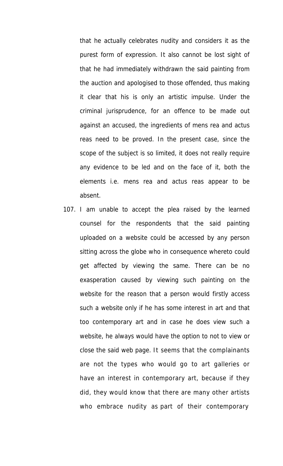that he actually celebrates nudity and considers it as the purest form of expression. It also cannot be lost sight of that he had immediately withdrawn the said painting from the auction and apologised to those offended, thus making it clear that his is only an artistic impulse. Under the criminal jurisprudence, for an offence to be made out against an accused, the ingredients of mens rea and actus reas need to be proved. In the present case, since the scope of the subject is so limited, it does not really require any evidence to be led and on the face of it, both the elements i.e. mens rea and actus reas appear to be absent.

107. I am unable to accept the plea raised by the learned counsel for the respondents that the said painting uploaded on a website could be accessed by any person sitting across the globe who in consequence whereto could get affected by viewing the same. There can be no exasperation caused by viewing such painting on the website for the reason that a person would firstly access such a website only if he has some interest in art and that too contemporary art and in case he does view such a website, he always would have the option to not to view or close the said web page. It seems that the complainants are not the types who would go to art galleries or have an interest in contemporary art, because if they did, they would know that there are many other artists who embrace nudity as part of their contemporary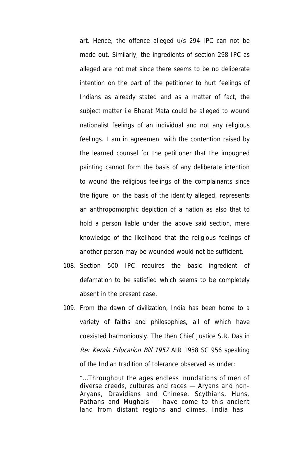art. Hence, the offence alleged u/s 294 IPC can not be made out. Similarly, the ingredients of section 298 IPC as alleged are not met since there seems to be no deliberate intention on the part of the petitioner to hurt feelings of Indians as already stated and as a matter of fact, the subject matter i.e Bharat Mata could be alleged to wound nationalist feelings of an individual and not any religious feelings. I am in agreement with the contention raised by the learned counsel for the petitioner that the impugned painting cannot form the basis of any deliberate intention to wound the religious feelings of the complainants since the figure, on the basis of the identity alleged, represents an anthropomorphic depiction of a nation as also that to hold a person liable under the above said section, mere knowledge of the likelihood that the religious feelings of another person may be wounded would not be sufficient.

- 108. Section 500 IPC requires the basic ingredient of defamation to be satisfied which seems to be completely absent in the present case.
- 109. From the dawn of civilization, India has been home to a variety of faiths and philosophies, all of which have coexisted harmoniously. The then Chief Justice S.R. Das in Re: Kerala Education Bill 1957 AIR 1958 SC 956 speaking of the Indian tradition of tolerance observed as under:

"…Throughout the ages endless inundations of men of diverse creeds, cultures and races — Aryans and non-Aryans, Dravidians and Chinese, Scythians, Huns, Pathans and Mughals — have come to this ancient land from distant regions and climes. India has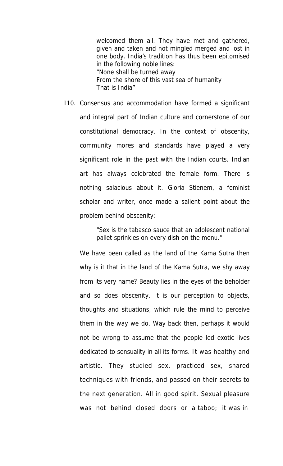welcomed them all. They have met and gathered, given and taken and not mingled merged and lost in one body. India's tradition has thus been epitomised in the following noble lines: "None shall be turned away From the shore of this vast sea of humanity That is India"

110. Consensus and accommodation have formed a significant and integral part of Indian culture and cornerstone of our constitutional democracy. In the context of obscenity, community mores and standards have played a very significant role in the past with the Indian courts. Indian art has always celebrated the female form. There is nothing salacious about it. Gloria Stienem, a feminist scholar and writer, once made a salient point about the problem behind obscenity:

> "Sex is the tabasco sauce that an adolescent national pallet sprinkles on every dish on the menu."

We have been called as the land of the Kama Sutra then why is it that in the land of the Kama Sutra, we shy away from its very name? Beauty lies in the eyes of the beholder and so does obscenity. It is our perception to objects, thoughts and situations, which rule the mind to perceive them in the way we do. Way back then, perhaps it would not be wrong to assume that the people led exotic lives dedicated to sensuality in all its forms. It was healthy and artistic. They studied sex, practiced sex, shared techniques with friends, and passed on their secrets to the next generation. All in good spirit. Sexual pleasure was not behind closed doors or a taboo; it was in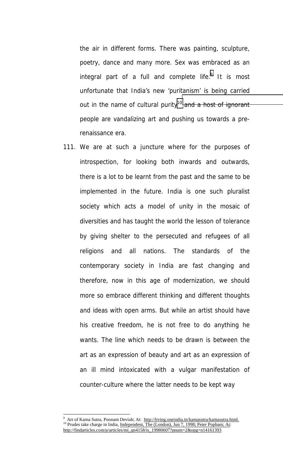the air in different forms. There was painting, sculpture, poetry, dance and many more. Sex was embraced as an integral part of a full and complete life. $9$  It is most unfortunate that India's new 'puritanism' is being carried out in the name of cultural purity<sup>10</sup> and a host of ignorant people are vandalizing art and pushing us towards a prerenaissance era.

111. We are at such a juncture where for the purposes of introspection, for looking both inwards and outwards, there is a lot to be learnt from the past and the same to be implemented in the future. India is one such pluralist society which acts a model of unity in the mosaic of diversities and has taught the world the lesson of tolerance by giving shelter to the persecuted and refugees of all religions and all nations. The standards of the contemporary society in India are fast changing and therefore, now in this age of modernization, we should more so embrace different thinking and different thoughts and ideas with open arms. But while an artist should have his creative freedom, he is not free to do anything he wants. The line which needs to be drawn is between the art as an expression of beauty and art as an expression of an ill mind intoxicated with a vulgar manifestation of counter-culture where the latter needs to be kept way

<sup>&</sup>lt;sup>9</sup> Art of Kama Sutra, Poonam Deviah; At: http://living.oneindia.in/kamasutra/kamasutra.html. <sup>10</sup> Prudes take charge in India, Independent, The (London), Jun 7, 1998; Peter Popham; At: http://findarticles.com/p/articles/mi\_qn4158/is\_19980607?pnum=2&opg=n14161393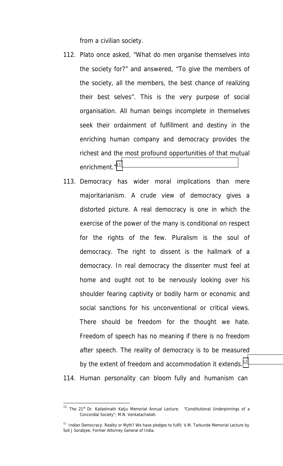from a civilian society.

- 112. Plato once asked, "What do men organise themselves into the society for?" and answered, "To give the members of the society, all the members, the best chance of realizing their best selves". This is the very purpose of social organisation. All human beings incomplete in themselves seek their ordainment of fulfillment and destiny in the enriching human company and democracy provides the richest and the most profound opportunities of that mutual enrichment."<sup>11</sup>
- 113. Democracy has wider moral implications than mere majoritarianism. A crude view of democracy gives a distorted picture. A real democracy is one in which the exercise of the power of the many is conditional on respect for the rights of the few. Pluralism is the soul of democracy. The right to dissent is the hallmark of a democracy. In real democracy the dissenter must feel at home and ought not to be nervously looking over his shoulder fearing captivity or bodily harm or economic and social sanctions for his unconventional or critical views. There should be freedom for the thought we hate. Freedom of speech has no meaning if there is no freedom after speech. The reality of democracy is to be measured by the extent of freedom and accommodation it extends.<sup>12</sup>

114. Human personality can bloom fully and humanism can

<u>.</u>

<sup>&</sup>lt;sup>11</sup> The 21<sup>st</sup> Dr. Kailashnath Katju Memorial Annual Lecture; "Constitutional Underpinnings of a Concordial Society"; M.N. Venkatachaliah.

 $12$  Indian Democracy: Reality or Myth? We have pledges to fulfil; V.M. Tarkunde Memorial Lecture by Soli J Sorabjee, Former Attorney General of India.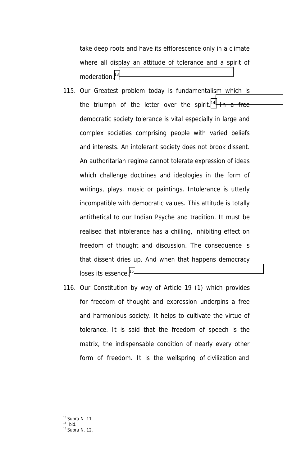take deep roots and have its efflorescence only in a climate where all display an attitude of tolerance and a spirit of moderation.<sup>13</sup>

- 115. Our Greatest problem today is fundamentalism which is the triumph of the letter over the spirit.<sup>14</sup> In a free democratic society tolerance is vital especially in large and complex societies comprising people with varied beliefs and interests. An intolerant society does not brook dissent. An authoritarian regime cannot tolerate expression of ideas which challenge doctrines and ideologies in the form of writings, plays, music or paintings. Intolerance is utterly incompatible with democratic values. This attitude is totally antithetical to our Indian Psyche and tradition. It must be realised that intolerance has a chilling, inhibiting effect on freedom of thought and discussion. The consequence is that dissent dries up. And when that happens democracy loses its essence.<sup>15</sup>
- 116. Our Constitution by way of Article 19 (1) which provides for freedom of thought and expression underpins a free and harmonious society. It helps to cultivate the virtue of tolerance. It is said that the freedom of speech is the matrix, the indispensable condition of nearly every other form of freedom. It is the wellspring of civilization and

<sup>13</sup> Supra N. 11.

 $14$  Ibid.

<sup>&</sup>lt;sup>15</sup> Supra N. 12.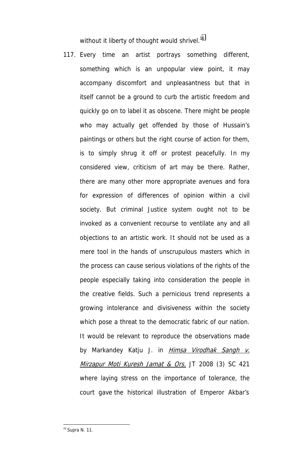without it liberty of thought would shrivel.<sup>16</sup>

117. Every time an artist portrays something different, something which is an unpopular view point, it may accompany discomfort and unpleasantness but that in itself cannot be a ground to curb the artistic freedom and quickly go on to label it as obscene. There might be people who may actually get offended by those of Hussain's paintings or others but the right course of action for them, is to simply shrug it off or protest peacefully. In my considered view, criticism of art may be there. Rather, there are many other more appropriate avenues and fora for expression of differences of opinion within a civil society. But criminal Justice system ought not to be invoked as a convenient recourse to ventilate any and all objections to an artistic work. It should not be used as a mere tool in the hands of unscrupulous masters which in the process can cause serious violations of the rights of the people especially taking into consideration the people in the creative fields. Such a pernicious trend represents a growing intolerance and divisiveness within the society which pose a threat to the democratic fabric of our nation. It would be relevant to reproduce the observations made by Markandey Katju J. in *Himsa Virodhak Sangh v.* Mirzapur Moti Kuresh Jamat & Ors. JT 2008 (3) SC 421 where laying stress on the importance of tolerance, the court gave the historical illustration of Emperor Akbar's

 $16$  Supra N. 11.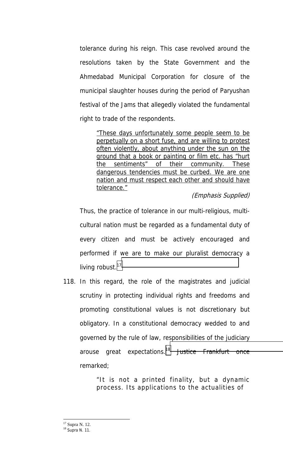tolerance during his reign. This case revolved around the resolutions taken by the State Government and the Ahmedabad Municipal Corporation for closure of the municipal slaughter houses during the period of Paryushan festival of the Jams that allegedly violated the fundamental right to trade of the respondents.

"These days unfortunately some people seem to be perpetually on a short fuse, and are willing to protest often violently, about anything under the sun on the ground that a book or painting or film etc. has "hurt the sentiments" of their community. These dangerous tendencies must be curbed. We are one nation and must respect each other and should have tolerance."

# (Emphasis Supplied)

Thus, the practice of tolerance in our multi-religious, multicultural nation must be regarded as a fundamental duty of every citizen and must be actively encouraged and performed if we are to make our pluralist democracy a living robust.<sup>17</sup>

118. In this regard, the role of the magistrates and judicial scrutiny in protecting individual rights and freedoms and promoting constitutional values is not discretionary but obligatory. In a constitutional democracy wedded to and governed by the rule of law, responsibilities of the judiciary arouse great expectations.<sup>18</sup> Justice Frankfurt once remarked;

> "It is not a printed finality, but a dynamic process. Its applications to the actualities of

 $17$  Supra N. 12.

<sup>18</sup> Supra N. 11.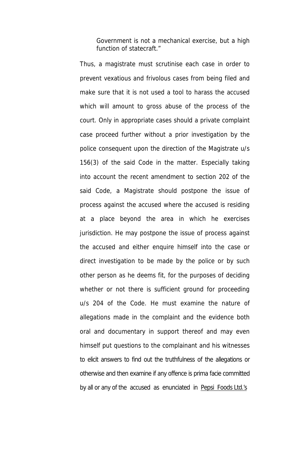Government is not a mechanical exercise, but a high function of statecraft."

Thus, a magistrate must scrutinise each case in order to prevent vexatious and frivolous cases from being filed and make sure that it is not used a tool to harass the accused which will amount to gross abuse of the process of the court. Only in appropriate cases should a private complaint case proceed further without a prior investigation by the police consequent upon the direction of the Magistrate u/s 156(3) of the said Code in the matter. Especially taking into account the recent amendment to section 202 of the said Code, a Magistrate should postpone the issue of process against the accused where the accused is residing at a place beyond the area in which he exercises jurisdiction. He may postpone the issue of process against the accused and either enquire himself into the case or direct investigation to be made by the police or by such other person as he deems fit, for the purposes of deciding whether or not there is sufficient ground for proceeding u/s 204 of the Code. He must examine the nature of allegations made in the complaint and the evidence both oral and documentary in support thereof and may even himself put questions to the complainant and his witnesses to elicit answers to find out the truthfulness of the allegations or otherwise and then examine if any offence is prima facie committed by all or any of the accused as enunciated in Pepsi Foods Ltd.'s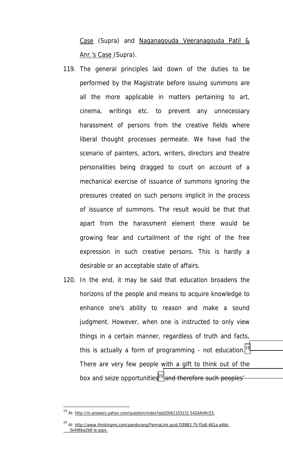Case (Supra) and Naganagouda Veeranagouda Patil & Anr.'s Case (Supra).

- 119. The general principles laid down of the duties to be performed by the Magistrate before issuing summons are all the more applicable in matters pertaining to art, cinema, writings etc. to prevent any unnecessary harassment of persons from the creative fields where liberal thought processes permeate. We have had the scenario of painters, actors, writers, directors and theatre personalities being dragged to court on account of a mechanical exercise of issuance of summons ignoring the pressures created on such persons implicit in the process of issuance of summons. The result would be that that apart from the harassment element there would be growing fear and curtailment of the right of the free expression in such creative persons. This is hardly a desirable or an acceptable state of affairs.
- 120. In the end, it may be said that education broadens the horizons of the people and means to acquire knowledge to enhance one's ability to reason and make a sound judgment. However, when one is instructed to only view things in a certain manner, regardless of truth and facts, this is actually a form of programming - not education.<sup>19</sup> There are very few people with a gift to think out of the box and seize opportunities<sup>20</sup> and therefore such peoples'

<u>.</u>

<sup>19</sup> At: http://in.answers.yahoo.com/question/index?qid20061103131 542AAHKrZ3.

<sup>20</sup> At: http://www.thinkingms.com/pandurang/PermaLink.guid.f28983 75-f5a8-461a-a4bb- 3e496ba2b8 le.aspx.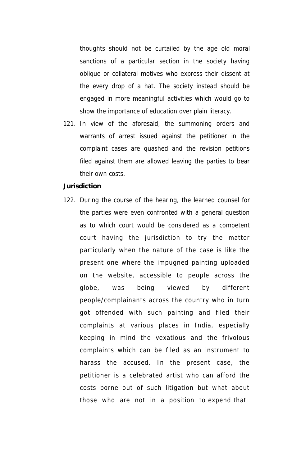thoughts should not be curtailed by the age old moral sanctions of a particular section in the society having oblique or collateral motives who express their dissent at the every drop of a hat. The society instead should be engaged in more meaningful activities which would go to show the importance of education over plain literacy.

121. In view of the aforesaid, the summoning orders and warrants of arrest issued against the petitioner in the complaint cases are quashed and the revision petitions filed against them are allowed leaving the parties to bear their own costs.

#### **Jurisdiction**

122. During the course of the hearing, the learned counsel for the parties were even confronted with a general question as to which court would be considered as a competent court having the jurisdiction to try the matter particularly when the nature of the case is like the present one where the impugned painting uploaded on the website, accessible to people across the globe, was being viewed by different people/complainants across the country who in turn got offended with such painting and filed their complaints at various places in India, especially keeping in mind the vexatious and the frivolous complaints which can be filed as an instrument to harass the accused. In the present case, the petitioner is a celebrated artist who can afford the costs borne out of such litigation but what about those who are not in a position to expend that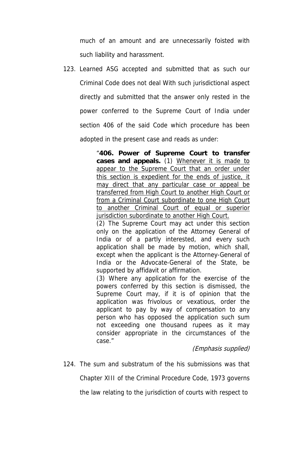much of an amount and are unnecessarily foisted with such liability and harassment.

123. Learned ASG accepted and submitted that as such our Criminal Code does not deal With such jurisdictional aspect directly and submitted that the answer only rested in the power conferred to the Supreme Court of India under section 406 of the said Code which procedure has been adopted in the present case and reads as under:

> "**406. Power of Supreme Court to transfer cases and appeals.** (1) Whenever it is made to appear to the Supreme Court that an order under this section is expedient for the ends of justice, it may direct that any particular case or appeal be transferred from High Court to another High Court or from a Criminal Court subordinate to one High Court to another Criminal Court of equal or superior jurisdiction subordinate to another High Court.

> (2) The Supreme Court may act under this section only on the application of the Attorney General of India or of a partly interested, and every such application shall be made by motion, which shall, except when the applicant is the Attorney-General of India or the Advocate-General of the State, be supported by affidavit or affirmation.

> (3) Where any application for the exercise of the powers conferred by this section is dismissed, the Supreme Court may, if it is of opinion that the application was frivolous or vexatious, order the applicant to pay by way of compensation to any person who has opposed the application such sum not exceeding one thousand rupees as it may consider appropriate in the circumstances of the case."

## (Emphasis supplied)

124. The sum and substratum of the his submissions was that Chapter XIII of the Criminal Procedure Code, 1973 governs the law relating to the jurisdiction of courts with respect to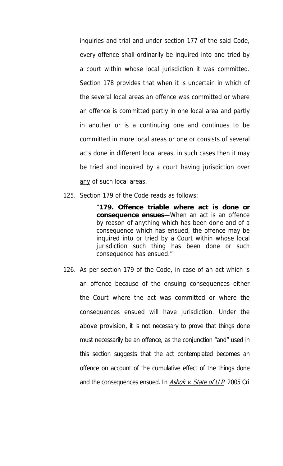inquiries and trial and under section 177 of the said Code, every offence shall ordinarily be inquired into and tried by a court within whose local jurisdiction it was committed. Section 178 provides that when it is uncertain in which of the several local areas an offence was committed or where an offence is committed partly in one local area and partly in another or is a continuing one and continues to be committed in more local areas or one or consists of several acts done in different local areas, in such cases then it may be tried and inquired by a court having jurisdiction over any of such local areas.

125. Section 179 of the Code reads as follows:

"**179. Offence triable where act is done or consequence ensues**—When an act is an offence by reason of anything which has been done and of a consequence which has ensued, the offence may be inquired into or tried by a Court within whose local jurisdiction such thing has been done or such consequence has ensued."

126. As per section 179 of the Code, in case of an act which is an offence because of the ensuing consequences either the Court where the act was committed or where the consequences ensued will have jurisdiction. Under the above provision, it is not necessary to prove that things done must necessarily be an offence, as the conjunction "and" used in this section suggests that the act contemplated becomes an offence on account of the cumulative effect of the things done and the consequences ensued. In **Ashok v. State of U.P** 2005 Cri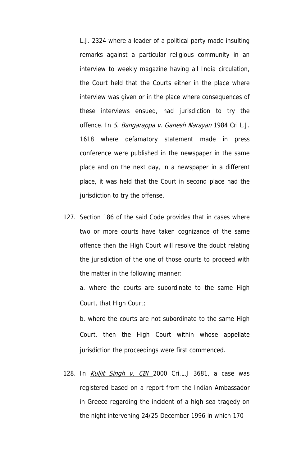L.J. 2324 where a leader of a political party made insulting remarks against a particular religious community in an interview to weekly magazine having all India circulation, the Court held that the Courts either in the place where interview was given or in the place where consequences of these interviews ensued, had jurisdiction to try the offence. In *S. Bangarappa v. Ganesh Narayan* 1984 Cri L.J. 1618 where defamatory statement made in press conference were published in the newspaper in the same place and on the next day, in a newspaper in a different place, it was held that the Court in second place had the jurisdiction to try the offense.

127. Section 186 of the said Code provides that in cases where two or more courts have taken cognizance of the same offence then the High Court will resolve the doubt relating the jurisdiction of the one of those courts to proceed with the matter in the following manner:

a. where the courts are subordinate to the same High Court, that High Court;

b. where the courts are not subordinate to the same High Court, then the High Court within whose appellate jurisdiction the proceedings were first commenced.

128. In *Kuljit Singh v. CBI* 2000 Cri.L.J 3681, a case was registered based on a report from the Indian Ambassador in Greece regarding the incident of a high sea tragedy on the night intervening 24/25 December 1996 in which 170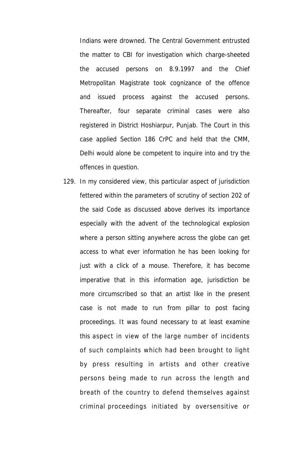Indians were drowned. The Central Government entrusted the matter to CBI for investigation which charge-sheeted the accused persons on 8.9.1997 and the Chief Metropolitan Magistrate took cognizance of the offence and issued process against the accused persons. Thereafter, four separate criminal cases were also registered in District Hoshiarpur, Punjab. The Court in this case applied Section 186 CrPC and held that the CMM, Delhi would alone be competent to inquire into and try the offences in question.

129. In my considered view, this particular aspect of jurisdiction fettered within the parameters of scrutiny of section 202 of the said Code as discussed above derives its importance especially with the advent of the technological explosion where a person sitting anywhere across the globe can get access to what ever information he has been looking for just with a click of a mouse. Therefore, it has become imperative that in this information age, jurisdiction be more circumscribed so that an artist like in the present case is not made to run from pillar to post facing proceedings. It was found necessary to at least examine this aspect in view of the large number of incidents of such complaints which had been brought to light by press resulting in artists and other creative persons being made to run across the length and breath of the country to defend themselves against criminal proceedings initiated by oversensitive or